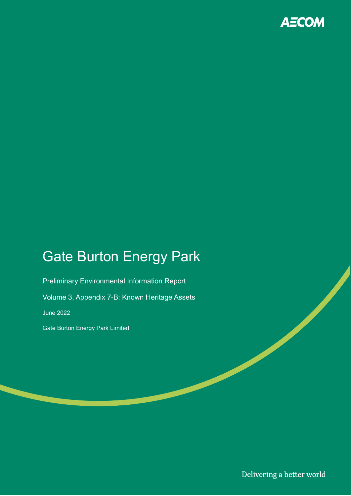

# Gate Burton Energy Park

Preliminary Environmental Information Report Volume 3, Appendix 7-B: Known Heritage Assets June 2022 Gate Burton Energy Park Limited

Delivering a better world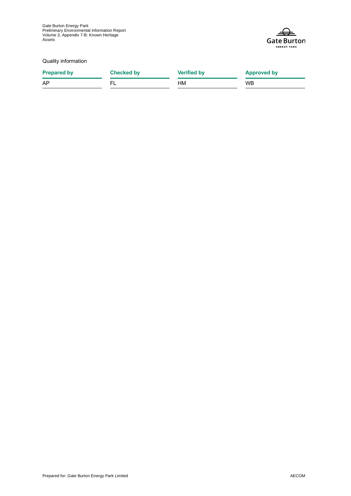

Quality information

**Prepared by Checked by Verified by Approved by** AP FL HM WB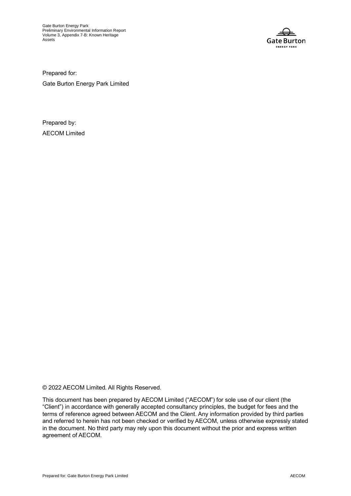

Prepared for:

Gate Burton Energy Park Limited

Prepared by: AECOM Limited

© 2022 AECOM Limited. All Rights Reserved.

This document has been prepared by AECOM Limited ("AECOM") for sole use of our client (the "Client") in accordance with generally accepted consultancy principles, the budget for fees and the terms of reference agreed between AECOM and the Client. Any information provided by third parties and referred to herein has not been checked or verified by AECOM, unless otherwise expressly stated in the document. No third party may rely upon this document without the prior and express written agreement of AECOM.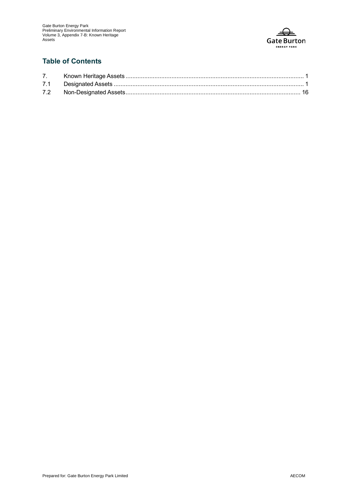

#### **Table of Contents**

| 7.  |  |
|-----|--|
|     |  |
| 7.2 |  |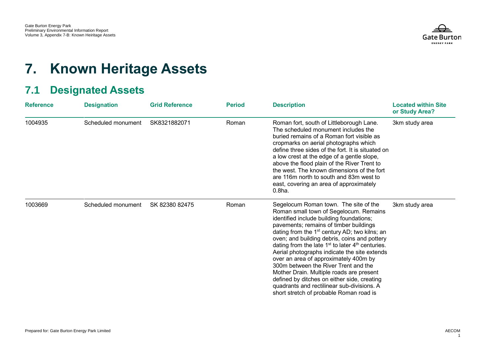

## **7. Known Heritage Assets**

## **7.1 Designated Assets**

<span id="page-4-1"></span><span id="page-4-0"></span>

| <b>Reference</b> | <b>Designation</b> | <b>Grid Reference</b> | <b>Period</b> | <b>Description</b>                                                                                                                                                                                                                                                                                                                                                                                                                                                                                                                                                                                                                                    | <b>Located within Site</b><br>or Study Area? |
|------------------|--------------------|-----------------------|---------------|-------------------------------------------------------------------------------------------------------------------------------------------------------------------------------------------------------------------------------------------------------------------------------------------------------------------------------------------------------------------------------------------------------------------------------------------------------------------------------------------------------------------------------------------------------------------------------------------------------------------------------------------------------|----------------------------------------------|
| 1004935          | Scheduled monument | SK8321882071          | Roman         | Roman fort, south of Littleborough Lane.<br>The scheduled monument includes the<br>buried remains of a Roman fort visible as<br>cropmarks on aerial photographs which<br>define three sides of the fort. It is situated on<br>a low crest at the edge of a gentle slope,<br>above the flood plain of the River Trent to<br>the west. The known dimensions of the fort<br>are 116m north to south and 83m west to<br>east, covering an area of approximately<br>0.8 <sub>ha.</sub>                                                                                                                                                                     | 3km study area                               |
| 1003669          | Scheduled monument | SK 82380 82475        | Roman         | Segelocum Roman town. The site of the<br>Roman small town of Segelocum. Remains<br>identified include building foundations;<br>pavements; remains of timber buildings<br>dating from the $1st$ century AD; two kilns; an<br>oven; and building debris, coins and pottery<br>dating from the late $1st$ to later $4th$ centuries.<br>Aerial photographs indicate the site extends<br>over an area of approximately 400m by<br>300m between the River Trent and the<br>Mother Drain. Multiple roads are present<br>defined by ditches on either side, creating<br>quadrants and rectilinear sub-divisions. A<br>short stretch of probable Roman road is | 3km study area                               |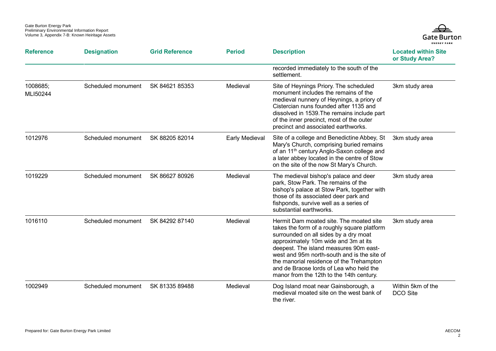

| <b>Reference</b>     | <b>Designation</b> | <b>Grid Reference</b> | <b>Period</b>  | <b>Description</b>                                                                                                                                                                                                                                                                                                                                                                                  | <b>Located within Site</b><br>or Study Area? |
|----------------------|--------------------|-----------------------|----------------|-----------------------------------------------------------------------------------------------------------------------------------------------------------------------------------------------------------------------------------------------------------------------------------------------------------------------------------------------------------------------------------------------------|----------------------------------------------|
|                      |                    |                       |                | recorded immediately to the south of the<br>settlement.                                                                                                                                                                                                                                                                                                                                             |                                              |
| 1008685;<br>MLI50244 | Scheduled monument | SK 84621 85353        | Medieval       | Site of Heynings Priory. The scheduled<br>monument includes the remains of the<br>medieval nunnery of Heynings, a priory of<br>Cistercian nuns founded after 1135 and<br>dissolved in 1539. The remains include part<br>of the inner precinct, most of the outer<br>precinct and associated earthworks.                                                                                             | 3km study area                               |
| 1012976              | Scheduled monument | SK 88205 82014        | Early Medieval | Site of a college and Benedictine Abbey, St<br>Mary's Church, comprising buried remains<br>of an 11 <sup>th</sup> century Anglo-Saxon college and<br>a later abbey located in the centre of Stow<br>on the site of the now St Mary's Church.                                                                                                                                                        | 3km study area                               |
| 1019229              | Scheduled monument | SK 86627 80926        | Medieval       | The medieval bishop's palace and deer<br>park, Stow Park. The remains of the<br>bishop's palace at Stow Park, together with<br>those of its associated deer park and<br>fishponds, survive well as a series of<br>substantial earthworks.                                                                                                                                                           | 3km study area                               |
| 1016110              | Scheduled monument | SK 84292 87140        | Medieval       | Hermit Dam moated site. The moated site<br>takes the form of a roughly square platform<br>surrounded on all sides by a dry moat<br>approximately 10m wide and 3m at its<br>deepest. The island measures 90m east-<br>west and 95m north-south and is the site of<br>the manorial residence of the Trehampton<br>and de Braose lords of Lea who held the<br>manor from the 12th to the 14th century. | 3km study area                               |
| 1002949              | Scheduled monument | SK 81335 89488        | Medieval       | Dog Island moat near Gainsborough, a<br>medieval moated site on the west bank of<br>the river.                                                                                                                                                                                                                                                                                                      | Within 5km of the<br>DCO Site                |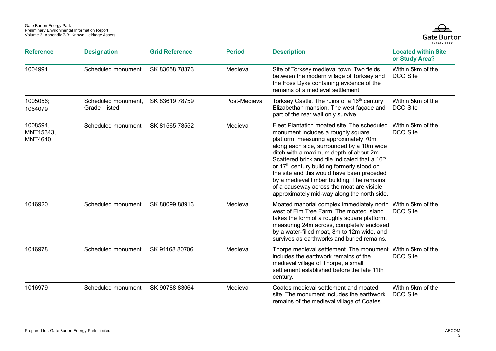

| <b>Reference</b>                        | <b>Designation</b>                    | <b>Grid Reference</b> | <b>Period</b> | <b>Description</b>                                                                                                                                                                                                                                                                                                                                                                                                                                                                                                     | <b>Located within Site</b><br>or Study Area? |
|-----------------------------------------|---------------------------------------|-----------------------|---------------|------------------------------------------------------------------------------------------------------------------------------------------------------------------------------------------------------------------------------------------------------------------------------------------------------------------------------------------------------------------------------------------------------------------------------------------------------------------------------------------------------------------------|----------------------------------------------|
| 1004991                                 | Scheduled monument                    | SK 83658 78373        | Medieval      | Site of Torksey medieval town. Two fields<br>between the modern village of Torksey and<br>the Foss Dyke containing evidence of the<br>remains of a medieval settlement.                                                                                                                                                                                                                                                                                                                                                | Within 5km of the<br>DCO Site                |
| 1005056;<br>1064079                     | Scheduled monument,<br>Grade I listed | SK 83619 78759        | Post-Medieval | Torksey Castle. The ruins of a 16 <sup>th</sup> century<br>Elizabethan mansion. The west façade and<br>part of the rear wall only survive.                                                                                                                                                                                                                                                                                                                                                                             | Within 5km of the<br>DCO Site                |
| 1008594,<br>MNT15343,<br><b>MNT4640</b> | Scheduled monument                    | SK 81565 78552        | Medieval      | Fleet Plantation moated site. The scheduled<br>monument includes a roughly square<br>platform, measuring approximately 70m<br>along each side, surrounded by a 10m wide<br>ditch with a maximum depth of about 2m.<br>Scattered brick and tile indicated that a 16 <sup>th</sup><br>or 17th century building formerly stood on<br>the site and this would have been preceded<br>by a medieval timber building. The remains<br>of a causeway across the moat are visible<br>approximately mid-way along the north side. | Within 5km of the<br>DCO Site                |
| 1016920                                 | Scheduled monument                    | SK 88099 88913        | Medieval      | Moated manorial complex immediately north Within 5km of the<br>west of Elm Tree Farm. The moated island<br>takes the form of a roughly square platform,<br>measuring 24m across, completely enclosed<br>by a water-filled moat, 8m to 12m wide, and<br>survives as earthworks and buried remains.                                                                                                                                                                                                                      | DCO Site                                     |
| 1016978                                 | Scheduled monument                    | SK 91168 80706        | Medieval      | Thorpe medieval settlement. The monument Within 5km of the<br>includes the earthwork remains of the<br>medieval village of Thorpe, a small<br>settlement established before the late 11th<br>century.                                                                                                                                                                                                                                                                                                                  | DCO Site                                     |
| 1016979                                 | Scheduled monument                    | SK 90788 83064        | Medieval      | Coates medieval settlement and moated<br>site. The monument includes the earthwork<br>remains of the medieval village of Coates.                                                                                                                                                                                                                                                                                                                                                                                       | Within 5km of the<br>DCO Site                |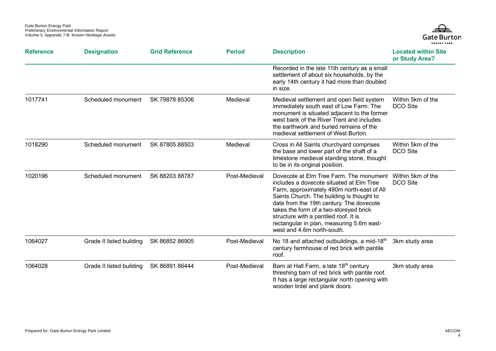

| <b>Reference</b> | <b>Designation</b>       | <b>Grid Reference</b> | <b>Period</b> | <b>Description</b>                                                                                                                                                                                                                                                                                                                                                                       | <b>Located within Site</b><br>or Study Area? |
|------------------|--------------------------|-----------------------|---------------|------------------------------------------------------------------------------------------------------------------------------------------------------------------------------------------------------------------------------------------------------------------------------------------------------------------------------------------------------------------------------------------|----------------------------------------------|
|                  |                          |                       |               | Recorded in the late 11th century as a small<br>settlement of about six households, by the<br>early 14th century it had more than doubled<br>in size.                                                                                                                                                                                                                                    |                                              |
| 1017741          | Scheduled monument       | SK 79878 85306        | Medieval      | Medieval settlement and open field system<br>immediately south east of Low Farm. The<br>monument is situated adjacent to the former<br>west bank of the River Trent and includes<br>the earthwork and buried remains of the<br>medieval settlement of West Burton.                                                                                                                       | Within 5km of the<br>DCO Site                |
| 1018290          | Scheduled monument       | SK 87805 88503        | Medieval      | Cross in All Saints churchyard comprises<br>the base and lower part of the shaft of a<br>limestone medieval standing stone, thought<br>to be in its original position.                                                                                                                                                                                                                   | Within 5km of the<br>DCO Site                |
| 1020196          | Scheduled monument       | SK 88203 88787        | Post-Medieval | Dovecote at Elm Tree Farm. The monument<br>includes a dovecote situated at Elm Tree<br>Farm, approximately 490m north-east of All<br>Saints Church. The building is thought to<br>date from the 19th century. The dovecote<br>takes the form of a two-storeyed brick<br>structure with a pantiled roof. It is<br>rectangular in plan, measuring 5.6m east-<br>west and 4.6m north-south. | Within 5km of the<br><b>DCO Site</b>         |
| 1064027          | Grade II listed building | SK 86852 86905        | Post-Medieval | No 18 and attached outbuildings, a mid-18 <sup>th</sup><br>century farmhouse of red brick with pantile<br>roof.                                                                                                                                                                                                                                                                          | 3km study area                               |
| 1064028          | Grade II listed building | SK 86891 86444        | Post-Medieval | Barn at Hall Farm, a late 18th century<br>threshing barn of red brick with pantile roof.<br>It has a large rectangular north opening with<br>wooden lintel and plank doors                                                                                                                                                                                                               | 3km study area                               |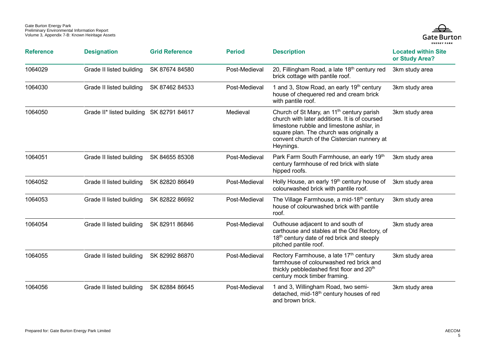

| <b>Reference</b> | <b>Designation</b>                       | <b>Grid Reference</b> | <b>Period</b> | <b>Description</b>                                                                                                                                                                                                                                          | <b>Located within Site</b><br>or Study Area? |
|------------------|------------------------------------------|-----------------------|---------------|-------------------------------------------------------------------------------------------------------------------------------------------------------------------------------------------------------------------------------------------------------------|----------------------------------------------|
| 1064029          | Grade II listed building                 | SK 87674 84580        | Post-Medieval | 20, Fillingham Road, a late 18 <sup>th</sup> century red<br>brick cottage with pantile roof.                                                                                                                                                                | 3km study area                               |
| 1064030          | Grade II listed building                 | SK 87462 84533        | Post-Medieval | 1 and 3, Stow Road, an early 19th century<br>house of chequered red and cream brick<br>with pantile roof.                                                                                                                                                   | 3km study area                               |
| 1064050          | Grade II* listed building SK 82791 84617 |                       | Medieval      | Church of St Mary, an 11 <sup>th</sup> century parish<br>church with later additions. It is of coursed<br>limestone rubble and limestone ashlar, in<br>square plan. The church was originally a<br>convent church of the Cistercian nunnery at<br>Heynings. | 3km study area                               |
| 1064051          | Grade II listed building                 | SK 84655 85308        | Post-Medieval | Park Farm South Farmhouse, an early 19th<br>century farmhouse of red brick with slate<br>hipped roofs.                                                                                                                                                      | 3km study area                               |
| 1064052          | Grade II listed building                 | SK 82820 86649        | Post-Medieval | Holly House, an early 19 <sup>th</sup> century house of<br>colourwashed brick with pantile roof.                                                                                                                                                            | 3km study area                               |
| 1064053          | Grade II listed building                 | SK 82822 86692        | Post-Medieval | The Village Farmhouse, a mid-18 <sup>th</sup> century<br>house of colourwashed brick with pantile<br>roof.                                                                                                                                                  | 3km study area                               |
| 1064054          | Grade II listed building                 | SK 82911 86846        | Post-Medieval | Outhouse adjacent to and south of<br>carthouse and stables at the Old Rectory, of<br>18th century date of red brick and steeply<br>pitched pantile roof.                                                                                                    | 3km study area                               |
| 1064055          | Grade II listed building                 | SK 82992 86870        | Post-Medieval | Rectory Farmhouse, a late 17th century<br>farmhouse of colourwashed red brick and<br>thickly pebbledashed first floor and 20 <sup>th</sup><br>century mock timber framing.                                                                                  | 3km study area                               |
| 1064056          | Grade II listed building                 | SK 82884 86645        | Post-Medieval | 1 and 3, Willingham Road, two semi-<br>detached, mid-18 <sup>th</sup> century houses of red<br>and brown brick.                                                                                                                                             | 3km study area                               |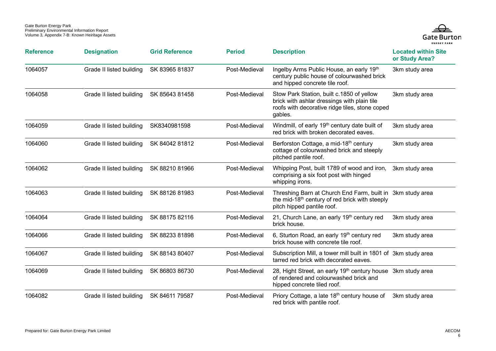

| <b>Reference</b> | <b>Designation</b>       | <b>Grid Reference</b> | <b>Period</b> | <b>Description</b>                                                                                                                                     | <b>Located within Site</b><br>or Study Area? |
|------------------|--------------------------|-----------------------|---------------|--------------------------------------------------------------------------------------------------------------------------------------------------------|----------------------------------------------|
| 1064057          | Grade II listed building | SK 83965 81837        | Post-Medieval | Ingelby Arms Public House, an early 19th<br>century public house of colourwashed brick<br>and hipped concrete tile roof.                               | 3km study area                               |
| 1064058          | Grade II listed building | SK 85643 81458        | Post-Medieval | Stow Park Station, built c.1850 of yellow<br>brick with ashlar dressings with plain tile<br>roofs with decorative ridge tiles, stone coped<br>gables.  | 3km study area                               |
| 1064059          | Grade II listed building | SK8340981598          | Post-Medieval | Windmill, of early 19 <sup>th</sup> century date built of<br>red brick with broken decorated eaves.                                                    | 3km study area                               |
| 1064060          | Grade II listed building | SK 84042 81812        | Post-Medieval | Berforston Cottage, a mid-18th century<br>cottage of colourwashed brick and steeply<br>pitched pantile roof.                                           | 3km study area                               |
| 1064062          | Grade II listed building | SK 88210 81966        | Post-Medieval | Whipping Post, built 1789 of wood and iron,<br>comprising a six foot post with hinged<br>whipping irons.                                               | 3km study area                               |
| 1064063          | Grade II listed building | SK 88126 81983        | Post-Medieval | Threshing Barn at Church End Farm, built in 3km study area<br>the mid-18 <sup>th</sup> century of red brick with steeply<br>pitch hipped pantile roof. |                                              |
| 1064064          | Grade II listed building | SK 88175 82116        | Post-Medieval | 21, Church Lane, an early 19th century red<br>brick house.                                                                                             | 3km study area                               |
| 1064066          | Grade II listed building | SK 88233 81898        | Post-Medieval | 6, Sturton Road, an early 19th century red<br>brick house with concrete tile roof.                                                                     | 3km study area                               |
| 1064067          | Grade II listed building | SK 88143 80407        | Post-Medieval | Subscription Mill, a tower mill built in 1801 of 3km study area<br>tarred red brick with decorated eaves.                                              |                                              |
| 1064069          | Grade II listed building | SK 86803 86730        | Post-Medieval | 28, Hight Street, an early 19 <sup>th</sup> century house 3km study area<br>of rendered and colourwashed brick and<br>hipped concrete tiled roof.      |                                              |
| 1064082          | Grade II listed building | SK 84611 79587        | Post-Medieval | Priory Cottage, a late 18 <sup>th</sup> century house of<br>red brick with pantile roof.                                                               | 3km study area                               |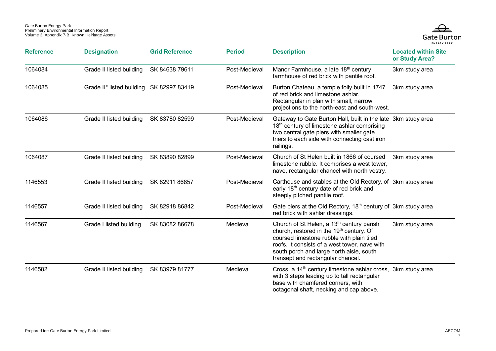

| <b>Reference</b> | <b>Designation</b>                       | <b>Grid Reference</b> | <b>Period</b> | <b>Description</b>                                                                                                                                                                                                                                                                           | <b>Located within Site</b><br>or Study Area? |
|------------------|------------------------------------------|-----------------------|---------------|----------------------------------------------------------------------------------------------------------------------------------------------------------------------------------------------------------------------------------------------------------------------------------------------|----------------------------------------------|
| 1064084          | Grade II listed building                 | SK 84638 79611        | Post-Medieval | Manor Farmhouse, a late 18 <sup>th</sup> century<br>farmhouse of red brick with pantile roof.                                                                                                                                                                                                | 3km study area                               |
| 1064085          | Grade II* listed building SK 82997 83419 |                       | Post-Medieval | Burton Chateau, a temple folly built in 1747<br>of red brick and limestone ashlar.<br>Rectangular in plan with small, narrow<br>projections to the north-east and south-west.                                                                                                                | 3km study area                               |
| 1064086          | Grade II listed building                 | SK 83780 82599        | Post-Medieval | Gateway to Gate Burton Hall, built in the late 3km study area<br>18th century of limestone ashlar comprising<br>two central gate piers with smaller gate<br>triers to each side with connecting cast iron<br>railings.                                                                       |                                              |
| 1064087          | Grade II listed building                 | SK 83890 82899        | Post-Medieval | Church of St Helen built in 1866 of coursed<br>limestone rubble. It comprises a west tower,<br>nave, rectangular chancel with north vestry.                                                                                                                                                  | 3km study area                               |
| 1146553          | Grade II listed building                 | SK 82911 86857        | Post-Medieval | Carthouse and stables at the Old Rectory, of 3km study area<br>early 18 <sup>th</sup> century date of red brick and<br>steeply pitched pantile roof.                                                                                                                                         |                                              |
| 1146557          | Grade II listed building                 | SK 82918 86842        | Post-Medieval | Gate piers at the Old Rectory, 18 <sup>th</sup> century of 3km study area<br>red brick with ashlar dressings.                                                                                                                                                                                |                                              |
| 1146567          | Grade I listed building                  | SK 83082 86678        | Medieval      | Church of St Helen, a 13 <sup>th</sup> century parish<br>church, restored in the 19 <sup>th</sup> century. Of<br>coursed limestone rubble with plain tiled<br>roofs. It consists of a west tower, nave with<br>south porch and large north aisle, south<br>transept and rectangular chancel. | 3km study area                               |
| 1146582          | Grade II listed building                 | SK 83979 81777        | Medieval      | Cross, a 14 <sup>th</sup> century limestone ashlar cross, 3km study area<br>with 3 steps leading up to tall rectangular<br>base with chamfered corners, with<br>octagonal shaft, necking and cap above.                                                                                      |                                              |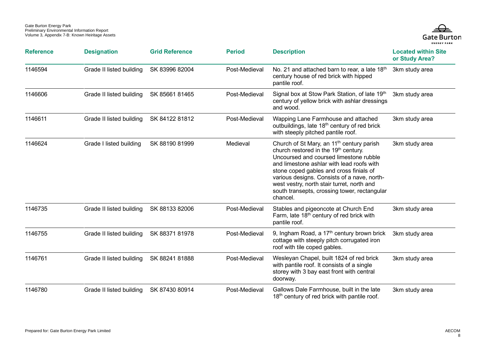

| <b>Reference</b> | <b>Designation</b>       | <b>Grid Reference</b> | <b>Period</b> | <b>Description</b>                                                                                                                                                                                                                                                                                                                                                                                   | <b>Located within Site</b><br>or Study Area? |
|------------------|--------------------------|-----------------------|---------------|------------------------------------------------------------------------------------------------------------------------------------------------------------------------------------------------------------------------------------------------------------------------------------------------------------------------------------------------------------------------------------------------------|----------------------------------------------|
| 1146594          | Grade II listed building | SK 83996 82004        | Post-Medieval | No. 21 and attached barn to rear, a late 18th<br>century house of red brick with hipped<br>pantile roof.                                                                                                                                                                                                                                                                                             | 3km study area                               |
| 1146606          | Grade II listed building | SK 85661 81465        | Post-Medieval | Signal box at Stow Park Station, of late 19th<br>century of yellow brick with ashlar dressings<br>and wood.                                                                                                                                                                                                                                                                                          | 3km study area                               |
| 1146611          | Grade II listed building | SK 84122 81812        | Post-Medieval | Wapping Lane Farmhouse and attached<br>outbuildings, late 18 <sup>th</sup> century of red brick<br>with steeply pitched pantile roof.                                                                                                                                                                                                                                                                | 3km study area                               |
| 1146624          | Grade I listed building  | SK 88190 81999        | Medieval      | Church of St Mary, an 11 <sup>th</sup> century parish<br>church restored in the 19 <sup>th</sup> century.<br>Uncoursed and coursed limestone rubble<br>and limestone ashlar with lead roofs with<br>stone coped gables and cross finials of<br>various designs. Consists of a nave, north-<br>west vestry, north stair turret, north and<br>south transepts, crossing tower, rectangular<br>chancel. | 3km study area                               |
| 1146735          | Grade II listed building | SK 88133 82006        | Post-Medieval | Stables and pigeoncote at Church End<br>Farm, late 18 <sup>th</sup> century of red brick with<br>pantile roof.                                                                                                                                                                                                                                                                                       | 3km study area                               |
| 1146755          | Grade II listed building | SK 88371 81978        | Post-Medieval | 9, Ingham Road, a 17 <sup>th</sup> century brown brick<br>cottage with steeply pitch corrugated iron<br>roof with tile coped gables.                                                                                                                                                                                                                                                                 | 3km study area                               |
| 1146761          | Grade II listed building | SK 88241 81888        | Post-Medieval | Wesleyan Chapel, built 1824 of red brick<br>with pantile roof. It consists of a single<br>storey with 3 bay east front with central<br>doorway.                                                                                                                                                                                                                                                      | 3km study area                               |
| 1146780          | Grade II listed building | SK 87430 80914        | Post-Medieval | Gallows Dale Farmhouse, built in the late<br>18 <sup>th</sup> century of red brick with pantile roof.                                                                                                                                                                                                                                                                                                | 3km study area                               |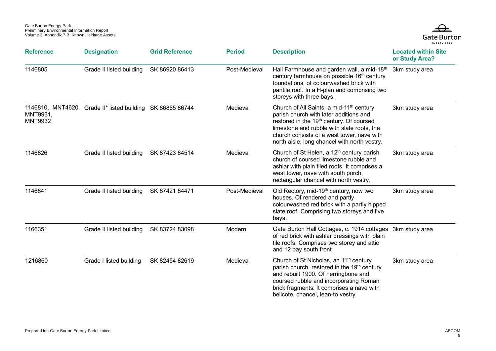

| <b>Reference</b>           | <b>Designation</b>                                         | <b>Grid Reference</b> | <b>Period</b> | <b>Description</b>                                                                                                                                                                                                                                                                                 | <b>Located within Site</b><br>or Study Area? |
|----------------------------|------------------------------------------------------------|-----------------------|---------------|----------------------------------------------------------------------------------------------------------------------------------------------------------------------------------------------------------------------------------------------------------------------------------------------------|----------------------------------------------|
| 1146805                    | Grade II listed building                                   | SK 86920 86413        | Post-Medieval | Hall Farmhouse and garden wall, a mid-18th<br>century farmhouse on possible 16 <sup>th</sup> century<br>foundations, of colourwashed brick with<br>pantile roof. In a H-plan and comprising two<br>storeys with three bays.                                                                        | 3km study area                               |
| MNT9931,<br><b>MNT9932</b> | 1146810, MNT4620, Grade II* listed building SK 86855 86744 |                       | Medieval      | Church of All Saints, a mid-11 <sup>th</sup> century<br>parish church with later additions and<br>restored in the 19 <sup>th</sup> century. Of coursed<br>limestone and rubble with slate roofs, the<br>church consists of a west tower, nave with<br>north aisle, long chancel with north vestry. | 3km study area                               |
| 1146826                    | Grade II listed building                                   | SK 87423 84514        | Medieval      | Church of St Helen, a 12 <sup>th</sup> century parish<br>church of coursed limestone rubble and<br>ashlar with plain tiled roofs. It comprises a<br>west tower, nave with south porch,<br>rectangular chancel with north vestry.                                                                   | 3km study area                               |
| 1146841                    | Grade II listed building                                   | SK 87421 84471        | Post-Medieval | Old Rectory, mid-19 <sup>th</sup> century, now two<br>houses. Of rendered and partly<br>colourwashed red brick with a partly hipped<br>slate roof. Comprising two storeys and five<br>bays.                                                                                                        | 3km study area                               |
| 1166351                    | Grade II listed building                                   | SK 83724 83098        | Modern        | Gate Burton Hall Cottages, c. 1914 cottages 3km study area<br>of red brick with ashlar dressings with plain<br>tile roofs. Comprises two storey and attic<br>and 12 bay south front                                                                                                                |                                              |
| 1216860                    | Grade I listed building                                    | SK 82454 82619        | Medieval      | Church of St Nicholas, an 11 <sup>th</sup> century<br>parish church, restored in the 19 <sup>th</sup> century<br>and rebuilt 1900. Of herringbone and<br>coursed rubble and incorporating Roman<br>brick fragments. It comprises a nave with<br>bellcote, chancel, lean-to vestry.                 | 3km study area                               |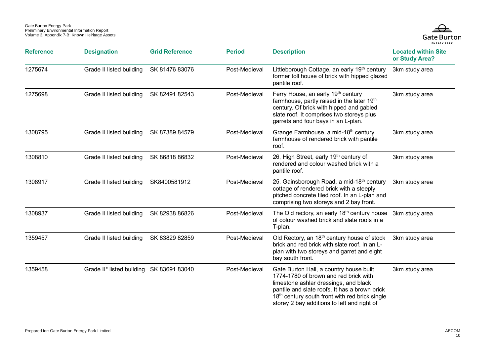

| <b>Reference</b> | <b>Designation</b>        | <b>Grid Reference</b> | <b>Period</b> | <b>Description</b>                                                                                                                                                                                                                                                                      | <b>Located within Site</b><br>or Study Area? |
|------------------|---------------------------|-----------------------|---------------|-----------------------------------------------------------------------------------------------------------------------------------------------------------------------------------------------------------------------------------------------------------------------------------------|----------------------------------------------|
| 1275674          | Grade II listed building  | SK 81476 83076        | Post-Medieval | Littleborough Cottage, an early 19th century<br>former toll house of brick with hipped glazed<br>pantile roof.                                                                                                                                                                          | 3km study area                               |
| 1275698          | Grade II listed building  | SK 82491 82543        | Post-Medieval | Ferry House, an early 19th century<br>farmhouse, partly raised in the later 19th<br>century. Of brick with hipped and gabled<br>slate roof. It comprises two storeys plus<br>garrets and four bays in an L-plan.                                                                        | 3km study area                               |
| 1308795          | Grade II listed building  | SK 87389 84579        | Post-Medieval | Grange Farmhouse, a mid-18 <sup>th</sup> century<br>farmhouse of rendered brick with pantile<br>roof.                                                                                                                                                                                   | 3km study area                               |
| 1308810          | Grade II listed building  | SK 86818 86832        | Post-Medieval | 26, High Street, early 19th century of<br>rendered and colour washed brick with a<br>pantile roof.                                                                                                                                                                                      | 3km study area                               |
| 1308917          | Grade II listed building  | SK8400581912          | Post-Medieval | 25, Gainsborough Road, a mid-18 <sup>th</sup> century<br>cottage of rendered brick with a steeply<br>pitched concrete tiled roof. In an L-plan and<br>comprising two storeys and 2 bay front.                                                                                           | 3km study area                               |
| 1308937          | Grade II listed building  | SK 82938 86826        | Post-Medieval | The Old rectory, an early 18 <sup>th</sup> century house<br>of colour washed brick and slate roofs in a<br>T-plan.                                                                                                                                                                      | 3km study area                               |
| 1359457          | Grade II listed building  | SK 83829 82859        | Post-Medieval | Old Rectory, an 18 <sup>th</sup> century house of stock<br>brick and red brick with slate roof. In an L-<br>plan with two storeys and garret and eight<br>bay south front.                                                                                                              | 3km study area                               |
| 1359458          | Grade II* listed building | SK 83691 83040        | Post-Medieval | Gate Burton Hall, a country house built<br>1774-1780 of brown and red brick with<br>limestone ashlar dressings, and black<br>pantile and slate roofs. It has a brown brick<br>18 <sup>th</sup> century south front with red brick single<br>storey 2 bay additions to left and right of | 3km study area                               |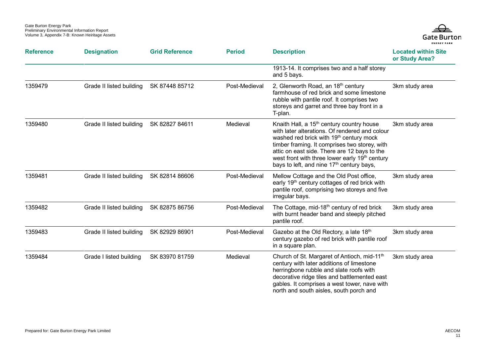

| <b>Reference</b> | <b>Designation</b>       | <b>Grid Reference</b> | <b>Period</b> | <b>Description</b>                                                                                                                                                                                                                                                                                                                                                                     | <b>Located within Site</b><br>or Study Area? |
|------------------|--------------------------|-----------------------|---------------|----------------------------------------------------------------------------------------------------------------------------------------------------------------------------------------------------------------------------------------------------------------------------------------------------------------------------------------------------------------------------------------|----------------------------------------------|
|                  |                          |                       |               | 1913-14. It comprises two and a half storey<br>and 5 bays.                                                                                                                                                                                                                                                                                                                             |                                              |
| 1359479          | Grade II listed building | SK 87448 85712        | Post-Medieval | 2, Glenworth Road, an 18th century<br>farmhouse of red brick and some limestone<br>rubble with pantile roof. It comprises two<br>storeys and garret and three bay front in a<br>T-plan.                                                                                                                                                                                                | 3km study area                               |
| 1359480          | Grade II listed building | SK 82827 84611        | Medieval      | Knaith Hall, a 15 <sup>th</sup> century country house<br>with later alterations. Of rendered and colour<br>washed red brick with 19 <sup>th</sup> century mock<br>timber framing. It comprises two storey, with<br>attic on east side. There are 12 bays to the<br>west front with three lower early 19 <sup>th</sup> century<br>bays to left, and nine 17 <sup>th</sup> century bays, | 3km study area                               |
| 1359481          | Grade II listed building | SK 82814 86606        | Post-Medieval | Mellow Cottage and the Old Post office,<br>early 19 <sup>th</sup> century cottages of red brick with<br>pantile roof, comprising two storeys and five<br>irregular bays.                                                                                                                                                                                                               | 3km study area                               |
| 1359482          | Grade II listed building | SK 82875 86756        | Post-Medieval | The Cottage, mid-18 <sup>th</sup> century of red brick<br>with burnt header band and steeply pitched<br>pantile roof.                                                                                                                                                                                                                                                                  | 3km study area                               |
| 1359483          | Grade II listed building | SK 82929 86901        | Post-Medieval | Gazebo at the Old Rectory, a late 18th<br>century gazebo of red brick with pantile roof<br>in a square plan.                                                                                                                                                                                                                                                                           | 3km study area                               |
| 1359484          | Grade I listed building  | SK 83970 81759        | Medieval      | Church of St. Margaret of Antioch, mid-11 <sup>th</sup><br>century with later additions of limestone<br>herringbone rubble and slate roofs with<br>decorative ridge tiles and battlemented east<br>gables. It comprises a west tower, nave with<br>north and south aisles, south porch and                                                                                             | 3km study area                               |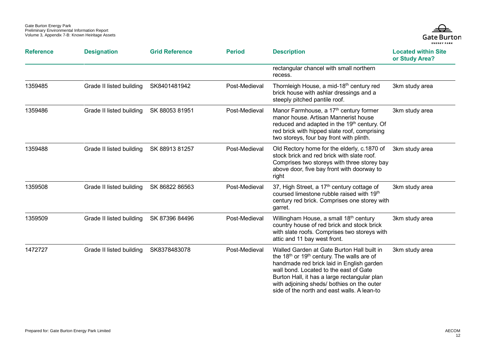

| <b>Reference</b> | <b>Designation</b>       | <b>Grid Reference</b> | <b>Period</b> | <b>Description</b>                                                                                                                                                                                                                                                                                                                                   | <b>Located within Site</b><br>or Study Area? |
|------------------|--------------------------|-----------------------|---------------|------------------------------------------------------------------------------------------------------------------------------------------------------------------------------------------------------------------------------------------------------------------------------------------------------------------------------------------------------|----------------------------------------------|
|                  |                          |                       |               | rectangular chancel with small northern<br>recess.                                                                                                                                                                                                                                                                                                   |                                              |
| 1359485          | Grade II listed building | SK8401481942          | Post-Medieval | Thornleigh House, a mid-18 <sup>th</sup> century red<br>brick house with ashlar dressings and a<br>steeply pitched pantile roof.                                                                                                                                                                                                                     | 3km study area                               |
| 1359486          | Grade II listed building | SK 88053 81951        | Post-Medieval | Manor Farmhouse, a 17 <sup>th</sup> century former<br>manor house. Artisan Mannerist house<br>reduced and adapted in the 19th century. Of<br>red brick with hipped slate roof, comprising<br>two storeys, four bay front with plinth.                                                                                                                | 3km study area                               |
| 1359488          | Grade II listed building | SK 88913 81257        | Post-Medieval | Old Rectory home for the elderly, c.1870 of<br>stock brick and red brick with slate roof.<br>Comprises two storeys with three storey bay<br>above door, five bay front with doorway to<br>right                                                                                                                                                      | 3km study area                               |
| 1359508          | Grade II listed building | SK 86822 86563        | Post-Medieval | 37, High Street, a 17 <sup>th</sup> century cottage of<br>coursed limestone rubble raised with 19th<br>century red brick. Comprises one storey with<br>garret.                                                                                                                                                                                       | 3km study area                               |
| 1359509          | Grade II listed building | SK 87396 84496        | Post-Medieval | Willingham House, a small 18 <sup>th</sup> century<br>country house of red brick and stock brick<br>with slate roofs. Comprises two storeys with<br>attic and 11 bay west front.                                                                                                                                                                     | 3km study area                               |
| 1472727          | Grade II listed building | SK8378483078          | Post-Medieval | Walled Garden at Gate Burton Hall built in<br>the 18 <sup>th</sup> or 19 <sup>th</sup> century. The walls are of<br>handmade red brick laid in English garden<br>wall bond. Located to the east of Gate<br>Burton Hall, it has a large rectangular plan<br>with adjoining sheds/ bothies on the outer<br>side of the north and east walls. A lean-to | 3km study area                               |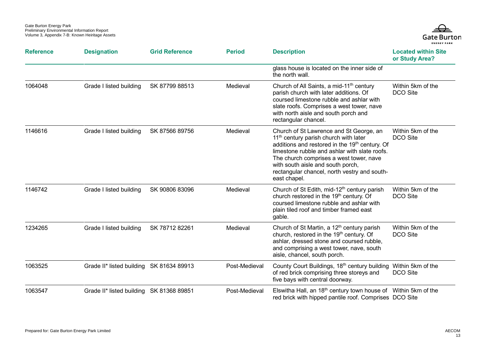

| <b>Reference</b> | <b>Designation</b>                       | <b>Grid Reference</b> | <b>Period</b> | <b>Description</b>                                                                                                                                                                                                                                                                                                                              | <b>Located within Site</b><br>or Study Area? |
|------------------|------------------------------------------|-----------------------|---------------|-------------------------------------------------------------------------------------------------------------------------------------------------------------------------------------------------------------------------------------------------------------------------------------------------------------------------------------------------|----------------------------------------------|
|                  |                                          |                       |               | glass house is located on the inner side of<br>the north wall.                                                                                                                                                                                                                                                                                  |                                              |
| 1064048          | Grade I listed building                  | SK 87799 88513        | Medieval      | Church of All Saints, a mid-11 <sup>th</sup> century<br>parish church with later additions. Of<br>coursed limestone rubble and ashlar with<br>slate roofs. Comprises a west tower, nave<br>with north aisle and south porch and<br>rectangular chancel.                                                                                         | Within 5km of the<br>DCO Site                |
| 1146616          | Grade I listed building                  | SK 87566 89756        | Medieval      | Church of St Lawrence and St George, an<br>11 <sup>th</sup> century parish church with later<br>additions and restored in the 19th century. Of<br>limestone rubble and ashlar with slate roofs.<br>The church comprises a west tower, nave<br>with south aisle and south porch,<br>rectangular chancel, north vestry and south-<br>east chapel. | Within 5km of the<br><b>DCO</b> Site         |
| 1146742          | Grade I listed building                  | SK 90806 83096        | Medieval      | Church of St Edith, mid-12 <sup>th</sup> century parish<br>church restored in the 19th century. Of<br>coursed limestone rubble and ashlar with<br>plain tiled roof and timber framed east<br>gable.                                                                                                                                             | Within 5km of the<br>DCO Site                |
| 1234265          | Grade I listed building                  | SK 78712 82261        | Medieval      | Church of St Martin, a 12 <sup>th</sup> century parish<br>church, restored in the 19 <sup>th</sup> century. Of<br>ashlar, dressed stone and coursed rubble,<br>and comprising a west tower, nave, south<br>aisle, chancel, south porch.                                                                                                         | Within 5km of the<br>DCO Site                |
| 1063525          | Grade II* listed building SK 81634 89913 |                       | Post-Medieval | County Court Buildings, 18th century building Within 5km of the<br>of red brick comprising three storeys and<br>five bays with central doorway.                                                                                                                                                                                                 | DCO Site                                     |
| 1063547          | Grade II* listed building SK 81368 89851 |                       | Post-Medieval | Elswitha Hall, an $18th$ century town house of Within 5km of the<br>red brick with hipped pantile roof. Comprises DCO Site                                                                                                                                                                                                                      |                                              |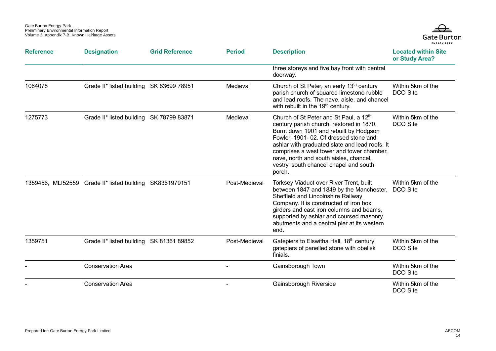

| <b>Reference</b> | <b>Designation</b>                                       | <b>Grid Reference</b> | <b>Period</b> | <b>Description</b>                                                                                                                                                                                                                                                                                                                                                             | <b>Located within Site</b><br>or Study Area? |
|------------------|----------------------------------------------------------|-----------------------|---------------|--------------------------------------------------------------------------------------------------------------------------------------------------------------------------------------------------------------------------------------------------------------------------------------------------------------------------------------------------------------------------------|----------------------------------------------|
|                  |                                                          |                       |               | three storeys and five bay front with central<br>doorway.                                                                                                                                                                                                                                                                                                                      |                                              |
| 1064078          | Grade II* listed building SK 83699 78951                 |                       | Medieval      | Church of St Peter, an early 13 <sup>th</sup> century<br>parish church of squared limestone rubble<br>and lead roofs. The nave, aisle, and chancel<br>with rebuilt in the 19 <sup>th</sup> century.                                                                                                                                                                            | Within 5km of the<br>DCO Site                |
| 1275773          | Grade II* listed building SK 78799 83871                 |                       | Medieval      | Church of St Peter and St Paul, a 12 <sup>th</sup><br>century parish church, restored in 1870.<br>Burnt down 1901 and rebuilt by Hodgson<br>Fowler, 1901-02. Of dressed stone and<br>ashlar with graduated slate and lead roofs. It<br>comprises a west tower and tower chamber,<br>nave, north and south aisles, chancel,<br>vestry, south chancel chapel and south<br>porch. | Within 5km of the<br>DCO Site                |
|                  | 1359456, MLI52559 Grade II* listed building SK8361979151 |                       | Post-Medieval | Torksey Viaduct over River Trent, built<br>between 1847 and 1849 by the Manchester,<br>Sheffield and Lincolnshire Railway<br>Company. It is constructed of iron box<br>girders and cast iron columns and beams,<br>supported by ashlar and coursed masonry<br>abutments and a central pier at its western<br>end.                                                              | Within 5km of the<br>DCO Site                |
| 1359751          | Grade II* listed building SK 81361 89852                 |                       | Post-Medieval | Gatepiers to Elswitha Hall, 18th century<br>gatepiers of panelled stone with obelisk<br>finials.                                                                                                                                                                                                                                                                               | Within 5km of the<br>DCO Site                |
|                  | <b>Conservation Area</b>                                 |                       |               | Gainsborough Town                                                                                                                                                                                                                                                                                                                                                              | Within 5km of the<br>DCO Site                |
|                  | <b>Conservation Area</b>                                 |                       |               | Gainsborough Riverside                                                                                                                                                                                                                                                                                                                                                         | Within 5km of the<br>DCO Site                |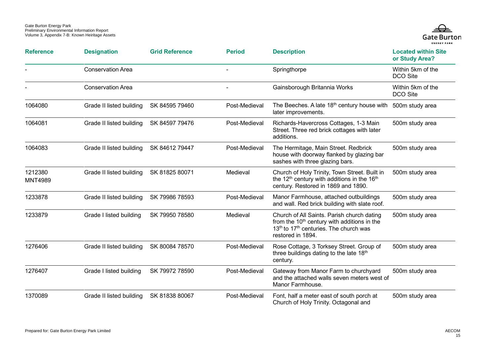

| <b>Reference</b>          | <b>Designation</b>       | <b>Grid Reference</b> | <b>Period</b> | <b>Description</b>                                                                                                                                                                           | <b>Located within Site</b><br>or Study Area? |
|---------------------------|--------------------------|-----------------------|---------------|----------------------------------------------------------------------------------------------------------------------------------------------------------------------------------------------|----------------------------------------------|
|                           | <b>Conservation Area</b> |                       |               | Springthorpe                                                                                                                                                                                 | Within 5km of the<br>DCO Site                |
|                           | <b>Conservation Area</b> |                       |               | Gainsborough Britannia Works                                                                                                                                                                 | Within 5km of the<br>DCO Site                |
| 1064080                   | Grade II listed building | SK 84595 79460        | Post-Medieval | The Beeches. A late 18 <sup>th</sup> century house with<br>later improvements.                                                                                                               | 500m study area                              |
| 1064081                   | Grade II listed building | SK 84597 79476        | Post-Medieval | Richards-Havercross Cottages, 1-3 Main<br>Street. Three red brick cottages with later<br>additions.                                                                                          | 500m study area                              |
| 1064083                   | Grade II listed building | SK 84612 79447        | Post-Medieval | The Hermitage, Main Street. Redbrick<br>house with doorway flanked by glazing bar<br>sashes with three glazing bars.                                                                         | 500m study area                              |
| 1212380<br><b>MNT4989</b> | Grade II listed building | SK 81825 80071        | Medieval      | Church of Holy Trinity, Town Street. Built in<br>the 12 <sup>th</sup> century with additions in the 16 <sup>th</sup><br>century. Restored in 1869 and 1890.                                  | 500m study area                              |
| 1233878                   | Grade II listed building | SK 79986 78593        | Post-Medieval | Manor Farmhouse, attached outbuildings<br>and wall. Red brick building with slate roof.                                                                                                      | 500m study area                              |
| 1233879                   | Grade I listed building  | SK 79950 78580        | Medieval      | Church of All Saints. Parish church dating<br>from the 10 <sup>th</sup> century with additions in the<br>13 <sup>th</sup> to 17 <sup>th</sup> centuries. The church was<br>restored in 1894. | 500m study area                              |
| 1276406                   | Grade II listed building | SK 80084 78570        | Post-Medieval | Rose Cottage, 3 Torksey Street. Group of<br>three buildings dating to the late 18th<br>century.                                                                                              | 500m study area                              |
| 1276407                   | Grade I listed building  | SK 79972 78590        | Post-Medieval | Gateway from Manor Farm to churchyard<br>and the attached walls seven meters west of<br>Manor Farmhouse.                                                                                     | 500m study area                              |
| 1370089                   | Grade II listed building | SK 81838 80067        | Post-Medieval | Font, half a meter east of south porch at<br>Church of Holy Trinity. Octagonal and                                                                                                           | 500m study area                              |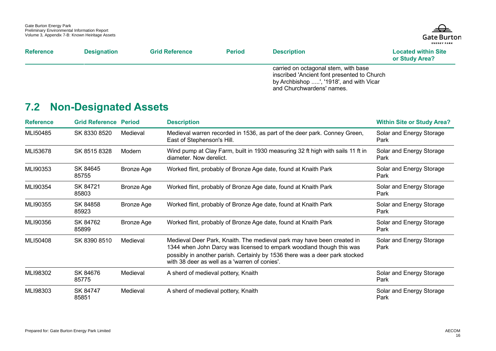

| <b>Reference</b> | <b>Designation</b> | <b>Grid Reference</b> | <b>Period</b> | <b>Description</b>                                                                                                                                          | <b>Located within Site</b><br>or Study Area? |
|------------------|--------------------|-----------------------|---------------|-------------------------------------------------------------------------------------------------------------------------------------------------------------|----------------------------------------------|
|                  |                    |                       |               | carried on octagonal stem, with base<br>inscribed 'Ancient font presented to Church<br>by Archbishop ', '1918', and with Vicar<br>and Churchwardens' names. |                                              |

## **7.2 Non-Designated Assets**

<span id="page-19-0"></span>

| <b>Reference</b> | <b>Grid Reference Period</b> |            | <b>Description</b>                                                                                                                                                                                                                                                             | <b>Within Site or Study Area?</b> |
|------------------|------------------------------|------------|--------------------------------------------------------------------------------------------------------------------------------------------------------------------------------------------------------------------------------------------------------------------------------|-----------------------------------|
| MLI50485         | SK 8330 8520                 | Medieval   | Medieval warren recorded in 1536, as part of the deer park. Conney Green,<br>East of Stephenson's Hill.                                                                                                                                                                        | Solar and Energy Storage<br>Park  |
| MLI53678         | SK 8515 8328                 | Modern     | Wind pump at Clay Farm, built in 1930 measuring 32 ft high with sails 11 ft in<br>diameter. Now derelict.                                                                                                                                                                      | Solar and Energy Storage<br>Park  |
| MLI90353         | SK 84645<br>85755            | Bronze Age | Worked flint, probably of Bronze Age date, found at Knaith Park                                                                                                                                                                                                                | Solar and Energy Storage<br>Park  |
| MLI90354         | SK 84721<br>85803            | Bronze Age | Worked flint, probably of Bronze Age date, found at Knaith Park                                                                                                                                                                                                                | Solar and Energy Storage<br>Park  |
| MLI90355         | SK 84858<br>85923            | Bronze Age | Worked flint, probably of Bronze Age date, found at Knaith Park                                                                                                                                                                                                                | Solar and Energy Storage<br>Park  |
| MLI90356         | SK 84762<br>85899            | Bronze Age | Worked flint, probably of Bronze Age date, found at Knaith Park                                                                                                                                                                                                                | Solar and Energy Storage<br>Park  |
| MLI50408         | SK 8390 8510                 | Medieval   | Medieval Deer Park, Knaith. The medieval park may have been created in<br>1344 when John Darcy was licensed to empark woodland though this was<br>possibly in another parish. Certainly by 1536 there was a deer park stocked<br>with 38 deer as well as a 'warren of conies'. | Solar and Energy Storage<br>Park  |
| MLI98302         | SK 84676<br>85775            | Medieval   | A sherd of medieval pottery, Knaith                                                                                                                                                                                                                                            | Solar and Energy Storage<br>Park  |
| MLI98303         | SK 84747<br>85851            | Medieval   | A sherd of medieval pottery, Knaith                                                                                                                                                                                                                                            | Solar and Energy Storage<br>Park  |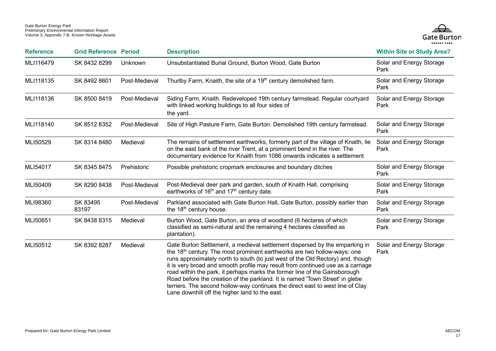

| <b>Reference</b> | <b>Grid Reference Period</b> |               | <b>Description</b>                                                                                                                                                                                                                                                                                                                                                                                                                                                                                                                                                                                                                          | <b>Within Site or Study Area?</b> |
|------------------|------------------------------|---------------|---------------------------------------------------------------------------------------------------------------------------------------------------------------------------------------------------------------------------------------------------------------------------------------------------------------------------------------------------------------------------------------------------------------------------------------------------------------------------------------------------------------------------------------------------------------------------------------------------------------------------------------------|-----------------------------------|
| MLI116479        | SK 8432 8299                 | Unknown       | Unsubstantiated Burial Ground, Burton Wood, Gate Burton                                                                                                                                                                                                                                                                                                                                                                                                                                                                                                                                                                                     | Solar and Energy Storage<br>Park  |
| MLI118135        | SK 8492 8601                 | Post-Medieval | Thurlby Farm, Knaith, the site of a 19 <sup>th</sup> century demolished farm.                                                                                                                                                                                                                                                                                                                                                                                                                                                                                                                                                               | Solar and Energy Storage<br>Park  |
| MLI118136        | SK 8500 8419                 | Post-Medieval | Siding Farm, Knaith. Redeveloped 19th century farmstead. Regular courtyard<br>with linked working buildings to all four sides of<br>the yard.                                                                                                                                                                                                                                                                                                                                                                                                                                                                                               | Solar and Energy Storage<br>Park  |
| MLI118140        | SK 8512 8352                 | Post-Medieval | Site of High Pasture Farm, Gate Burton. Demolished 19th century farmstead.                                                                                                                                                                                                                                                                                                                                                                                                                                                                                                                                                                  | Solar and Energy Storage<br>Park  |
| MLI50529         | SK 8314 8480                 | Medieval      | The remains of settlement earthworks, formerly part of the village of Knaith, lie<br>on the east bank of the river Trent, at a prominent bend in the river. The<br>documentary evidence for Knaith from 1086 onwards indicates a settlement                                                                                                                                                                                                                                                                                                                                                                                                 | Solar and Energy Storage<br>Park  |
| MLI54017         | SK 8345 8475                 | Prehistoric   | Possible prehistoric cropmark enclosures and boundary ditches                                                                                                                                                                                                                                                                                                                                                                                                                                                                                                                                                                               | Solar and Energy Storage<br>Park  |
| MLI50409         | SK 8290 8438                 | Post-Medieval | Post-Medieval deer park and garden, south of Knaith Hall, comprising<br>earthworks of 16 <sup>th</sup> and 17 <sup>th</sup> century date.                                                                                                                                                                                                                                                                                                                                                                                                                                                                                                   | Solar and Energy Storage<br>Park  |
| MLI98360         | SK 83495<br>83197            | Post-Medieval | Parkland associated with Gate Burton Hall, Gate Burton, possibly earlier than<br>the 18 <sup>th</sup> century house.                                                                                                                                                                                                                                                                                                                                                                                                                                                                                                                        | Solar and Energy Storage<br>Park  |
| MLI50651         | SK 8438 8315                 | Medieval      | Burton Wood, Gate Burton, an area of woodland (6 hectares of which<br>classified as semi-natural and the remaining 4 hectares classified as<br>plantation).                                                                                                                                                                                                                                                                                                                                                                                                                                                                                 | Solar and Energy Storage<br>Park  |
| MLI50512         | SK 8392 8287                 | Medieval      | Gate Burton Settlement, a medieval settlement dispersed by the emparking in<br>the 18 <sup>th</sup> century. The most prominent earthworks are two hollow-ways: one<br>runs approximately north to south (to just west of the Old Rectory) and, though<br>it is very broad and smooth profile may result from continued use as a carriage<br>road within the park, it perhaps marks the former line of the Gainsborough<br>Road before the creation of the parkland. It is named 'Town Street' in glebe<br>terriers. The second hollow-way continues the direct east to west line of Clay<br>Lane downhill off the higher land to the east. | Solar and Energy Storage<br>Park  |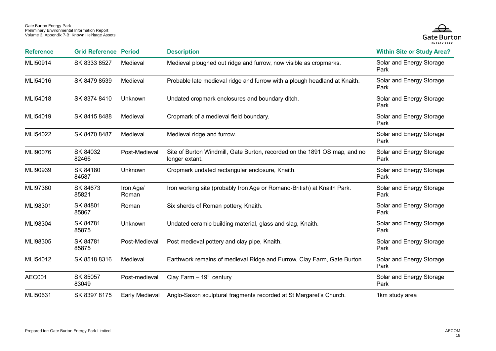

| <b>Reference</b> | <b>Grid Reference Period</b> |                    | <b>Description</b>                                                                          | <b>Within Site or Study Area?</b> |
|------------------|------------------------------|--------------------|---------------------------------------------------------------------------------------------|-----------------------------------|
| MLI50914         | SK 8333 8527                 | Medieval           | Medieval ploughed out ridge and furrow, now visible as cropmarks.                           | Solar and Energy Storage<br>Park  |
| MLI54016         | SK 8479 8539                 | Medieval           | Probable late medieval ridge and furrow with a plough headland at Knaith.                   | Solar and Energy Storage<br>Park  |
| MLI54018         | SK 8374 8410                 | Unknown            | Undated cropmark enclosures and boundary ditch.                                             | Solar and Energy Storage<br>Park  |
| MLI54019         | SK 8415 8488                 | Medieval           | Cropmark of a medieval field boundary.                                                      | Solar and Energy Storage<br>Park  |
| MLI54022         | SK 8470 8487                 | Medieval           | Medieval ridge and furrow.                                                                  | Solar and Energy Storage<br>Park  |
| MLI90076         | SK 84032<br>82466            | Post-Medieval      | Site of Burton Windmill, Gate Burton, recorded on the 1891 OS map, and no<br>longer extant. | Solar and Energy Storage<br>Park  |
| MLI90939         | SK 84180<br>84587            | Unknown            | Cropmark undated rectangular enclosure, Knaith.                                             | Solar and Energy Storage<br>Park  |
| MLI97380         | SK 84673<br>85821            | Iron Age/<br>Roman | Iron working site (probably Iron Age or Romano-British) at Knaith Park.                     | Solar and Energy Storage<br>Park  |
| MLI98301         | SK 84801<br>85867            | Roman              | Six sherds of Roman pottery, Knaith.                                                        | Solar and Energy Storage<br>Park  |
| MLI98304         | SK 84781<br>85875            | Unknown            | Undated ceramic building material, glass and slag, Knaith.                                  | Solar and Energy Storage<br>Park  |
| MLI98305         | SK 84781<br>85875            | Post-Medieval      | Post medieval pottery and clay pipe, Knaith.                                                | Solar and Energy Storage<br>Park  |
| MLI54012         | SK 8518 8316                 | Medieval           | Earthwork remains of medieval Ridge and Furrow, Clay Farm, Gate Burton                      | Solar and Energy Storage<br>Park  |
| AEC001           | SK 85057<br>83049            | Post-medieval      | Clay Farm $-19th$ century                                                                   | Solar and Energy Storage<br>Park  |
| MLI50631         | SK 8397 8175                 | Early Medieval     | Anglo-Saxon sculptural fragments recorded at St Margaret's Church.                          | 1km study area                    |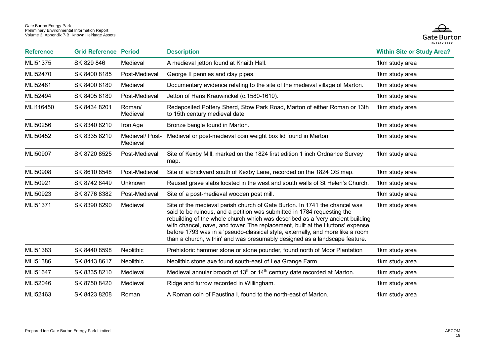

| <b>Reference</b> | <b>Grid Reference Period</b> |                             | <b>Description</b>                                                                                                                                                                                                                                                                                                                                                                                                                                                                        | <b>Within Site or Study Area?</b> |
|------------------|------------------------------|-----------------------------|-------------------------------------------------------------------------------------------------------------------------------------------------------------------------------------------------------------------------------------------------------------------------------------------------------------------------------------------------------------------------------------------------------------------------------------------------------------------------------------------|-----------------------------------|
| MLI51375         | SK 829 846                   | Medieval                    | A medieval jetton found at Knaith Hall.                                                                                                                                                                                                                                                                                                                                                                                                                                                   | 1km study area                    |
| MLI52470         | SK 8400 8185                 | Post-Medieval               | George II pennies and clay pipes.                                                                                                                                                                                                                                                                                                                                                                                                                                                         | 1km study area                    |
| MLI52481         | SK 8400 8180                 | Medieval                    | Documentary evidence relating to the site of the medieval village of Marton.                                                                                                                                                                                                                                                                                                                                                                                                              | 1km study area                    |
| MLI52494         | SK 8405 8180                 | Post-Medieval               | Jetton of Hans Krauwinckel (c.1580-1610).                                                                                                                                                                                                                                                                                                                                                                                                                                                 | 1km study area                    |
| MLI116450        | SK 8434 8201                 | Roman/<br>Medieval          | Redeposited Pottery Sherd, Stow Park Road, Marton of either Roman or 13th<br>to 15th century medieval date                                                                                                                                                                                                                                                                                                                                                                                | 1km study area                    |
| MLI50256         | SK 8340 8210                 | Iron Age                    | Bronze bangle found in Marton.                                                                                                                                                                                                                                                                                                                                                                                                                                                            | 1km study area                    |
| MLI50452         | SK 8335 8210                 | Medieval/ Post-<br>Medieval | Medieval or post-medieval coin weight box lid found in Marton.                                                                                                                                                                                                                                                                                                                                                                                                                            | 1km study area                    |
| MLI50907         | SK 8720 8525                 | Post-Medieval               | Site of Kexby Mill, marked on the 1824 first edition 1 inch Ordnance Survey<br>map.                                                                                                                                                                                                                                                                                                                                                                                                       | 1km study area                    |
| MLI50908         | SK 8610 8548                 | Post-Medieval               | Site of a brickyard south of Kexby Lane, recorded on the 1824 OS map.                                                                                                                                                                                                                                                                                                                                                                                                                     | 1km study area                    |
| MLI50921         | SK 8742 8449                 | Unknown                     | Reused grave slabs located in the west and south walls of St Helen's Church.                                                                                                                                                                                                                                                                                                                                                                                                              | 1km study area                    |
| MLI50923         | SK 8776 8382                 | Post-Medieval               | Site of a post-medieval wooden post mill.                                                                                                                                                                                                                                                                                                                                                                                                                                                 | 1km study area                    |
| MLI51371         | SK 8390 8290                 | Medieval                    | Site of the medieval parish church of Gate Burton. In 1741 the chancel was<br>said to be ruinous, and a petition was submitted in 1784 requesting the<br>rebuilding of the whole church which was described as a 'very ancient building'<br>with chancel, nave, and tower. The replacement, built at the Huttons' expense<br>before 1793 was in a 'pseudo-classical style, externally, and more like a room<br>than a church, within' and was presumably designed as a landscape feature. | 1km study area                    |
| MLI51383         | SK 8440 8598                 | Neolithic                   | Prehistoric hammer stone or stone pounder, found north of Moor Plantation                                                                                                                                                                                                                                                                                                                                                                                                                 | 1km study area                    |
| MLI51386         | SK 8443 8617                 | Neolithic                   | Neolithic stone axe found south-east of Lea Grange Farm.                                                                                                                                                                                                                                                                                                                                                                                                                                  | 1km study area                    |
| MLI51647         | SK 8335 8210                 | Medieval                    | Medieval annular brooch of 13 <sup>th</sup> or 14 <sup>th</sup> century date recorded at Marton.                                                                                                                                                                                                                                                                                                                                                                                          | 1km study area                    |
| MLI52046         | SK 8750 8420                 | Medieval                    | Ridge and furrow recorded in Willingham.                                                                                                                                                                                                                                                                                                                                                                                                                                                  | 1km study area                    |
| MLI52463         | SK 8423 8208                 | Roman                       | A Roman coin of Faustina I, found to the north-east of Marton.                                                                                                                                                                                                                                                                                                                                                                                                                            | 1km study area                    |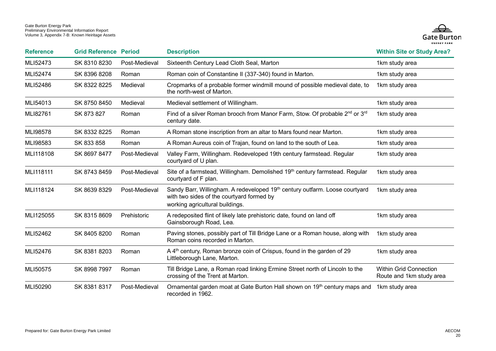

| <b>Reference</b> | <b>Grid Reference Period</b> |               | <b>Description</b>                                                                                                                                                      | <b>Within Site or Study Area?</b>                         |
|------------------|------------------------------|---------------|-------------------------------------------------------------------------------------------------------------------------------------------------------------------------|-----------------------------------------------------------|
| MLI52473         | SK 8310 8230                 | Post-Medieval | Sixteenth Century Lead Cloth Seal, Marton                                                                                                                               | 1km study area                                            |
| MLI52474         | SK 8396 8208                 | Roman         | Roman coin of Constantine II (337-340) found in Marton.                                                                                                                 | 1km study area                                            |
| MLI52486         | SK 8322 8225                 | Medieval      | Cropmarks of a probable former windmill mound of possible medieval date, to<br>the north-west of Marton.                                                                | 1km study area                                            |
| MLI54013         | SK 8750 8450                 | Medieval      | Medieval settlement of Willingham.                                                                                                                                      | 1km study area                                            |
| MLI82761         | SK 873 827                   | Roman         | Find of a silver Roman brooch from Manor Farm, Stow. Of probable 2 <sup>nd</sup> or 3 <sup>rd</sup><br>century date.                                                    | 1km study area                                            |
| MLI98578         | SK 8332 8225                 | Roman         | A Roman stone inscription from an altar to Mars found near Marton.                                                                                                      | 1km study area                                            |
| MLI98583         | SK 833 858                   | Roman         | A Roman Aureus coin of Trajan, found on land to the south of Lea.                                                                                                       | 1km study area                                            |
| MLI118108        | SK 8697 8477                 | Post-Medieval | Valley Farm, Willingham. Redeveloped 19th century farmstead. Regular<br>courtyard of U plan.                                                                            | 1km study area                                            |
| MLI118111        | SK 8743 8459                 | Post-Medieval | Site of a farmstead, Willingham. Demolished 19 <sup>th</sup> century farmstead. Regular<br>courtyard of F plan.                                                         | 1km study area                                            |
| MLI118124        | SK 8639 8329                 | Post-Medieval | Sandy Barr, Willingham. A redeveloped 19 <sup>th</sup> century outfarm. Loose courtyard<br>with two sides of the courtyard formed by<br>working agricultural buildings. | 1km study area                                            |
| MLI125055        | SK 8315 8609                 | Prehistoric   | A redeposited flint of likely late prehistoric date, found on land off<br>Gainsborough Road, Lea.                                                                       | 1km study area                                            |
| MLI52462         | SK 8405 8200                 | Roman         | Paving stones, possibly part of Till Bridge Lane or a Roman house, along with<br>Roman coins recorded in Marton.                                                        | 1km study area                                            |
| MLI52476         | SK 8381 8203                 | Roman         | A 4 <sup>th</sup> century, Roman bronze coin of Crispus, found in the garden of 29<br>Littleborough Lane, Marton.                                                       | 1km study area                                            |
| MLI50575         | SK 8998 7997                 | Roman         | Till Bridge Lane, a Roman road linking Ermine Street north of Lincoln to the<br>crossing of the Trent at Marton.                                                        | <b>Within Grid Connection</b><br>Route and 1km study area |
| MLI50290         | SK 8381 8317                 | Post-Medieval | Ornamental garden moat at Gate Burton Hall shown on 19 <sup>th</sup> century maps and<br>recorded in 1962.                                                              | 1km study area                                            |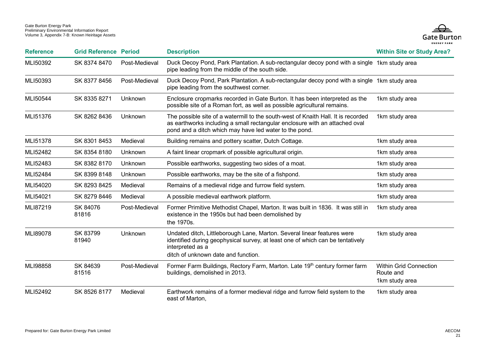

| <b>Reference</b> | <b>Grid Reference Period</b> |                | <b>Description</b>                                                                                                                                                                                                         | <b>Within Site or Study Area?</b>                            |
|------------------|------------------------------|----------------|----------------------------------------------------------------------------------------------------------------------------------------------------------------------------------------------------------------------------|--------------------------------------------------------------|
| MLI50392         | SK 8374 8470                 | Post-Medieval  | Duck Decoy Pond, Park Plantation. A sub-rectangular decoy pond with a single 1km study area<br>pipe leading from the middle of the south side.                                                                             |                                                              |
| MLI50393         | SK 8377 8456                 | Post-Medieval  | Duck Decoy Pond, Park Plantation. A sub-rectangular decoy pond with a single 1km study area<br>pipe leading from the southwest corner.                                                                                     |                                                              |
| MLI50544         | SK 8335 8271                 | Unknown        | Enclosure cropmarks recorded in Gate Burton. It has been interpreted as the<br>possible site of a Roman fort, as well as possible agricultural remains.                                                                    | 1km study area                                               |
| MLI51376         | SK 8262 8436                 | Unknown        | The possible site of a watermill to the south-west of Knaith Hall. It is recorded<br>as earthworks including a small rectangular enclosure with an attached oval<br>pond and a ditch which may have led water to the pond. | 1km study area                                               |
| MLI51378         | SK 8301 8453                 | Medieval       | Building remains and pottery scatter, Dutch Cottage.                                                                                                                                                                       | 1km study area                                               |
| MLI52482         | SK 8354 8180                 | Unknown        | A faint linear cropmark of possible agricultural origin.                                                                                                                                                                   | 1km study area                                               |
| MLI52483         | SK 8382 8170                 | Unknown        | Possible earthworks, suggesting two sides of a moat.                                                                                                                                                                       | 1km study area                                               |
| MLI52484         | SK 8399 8148                 | Unknown        | Possible earthworks, may be the site of a fishpond.                                                                                                                                                                        | 1km study area                                               |
| MLI54020         | SK 8293 8425                 | Medieval       | Remains of a medieval ridge and furrow field system.                                                                                                                                                                       | 1km study area                                               |
| MLI54021         | SK 8279 8446                 | Medieval       | A possible medieval earthwork platform.                                                                                                                                                                                    | 1km study area                                               |
| MLI87219         | SK 84076<br>81816            | Post-Medieval  | Former Primitive Methodist Chapel, Marton. It was built in 1836. It was still in<br>existence in the 1950s but had been demolished by<br>the 1970s.                                                                        | 1km study area                                               |
| MLI89078         | SK 83799<br>81940            | <b>Unknown</b> | Undated ditch, Littleborough Lane, Marton. Several linear features were<br>identified during geophysical survey, at least one of which can be tentatively<br>interpreted as a<br>ditch of unknown date and function.       | 1km study area                                               |
| MLI98858         | SK 84639<br>81516            | Post-Medieval  | Former Farm Buildings, Rectory Farm, Marton. Late 19 <sup>th</sup> century former farm<br>buildings, demolished in 2013.                                                                                                   | <b>Within Grid Connection</b><br>Route and<br>1km study area |
| MLI52492         | SK 8526 8177                 | Medieval       | Earthwork remains of a former medieval ridge and furrow field system to the<br>east of Marton,                                                                                                                             | 1km study area                                               |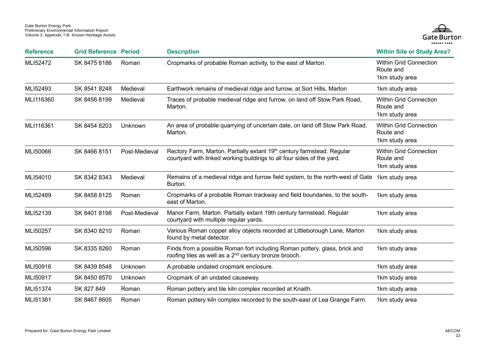

| <b>Reference</b> | <b>Grid Reference Period</b> |               | <b>Description</b>                                                                                                                               | <b>Within Site or Study Area?</b>                            |
|------------------|------------------------------|---------------|--------------------------------------------------------------------------------------------------------------------------------------------------|--------------------------------------------------------------|
| MLI52472         | SK 8475 8186                 | Roman         | Cropmarks of probable Roman activity, to the east of Marton.                                                                                     | <b>Within Grid Connection</b><br>Route and<br>1km study area |
| MLI52493         | SK 8541 8248                 | Medieval      | Earthwork remains of medieval ridge and furrow, at Sort Hills, Marton                                                                            | 1km study area                                               |
| MLI116360        | SK 8456 8199                 | Medieval      | Traces of probable medieval ridge and furrow, on land off Stow Park Road,<br>Marton.                                                             | <b>Within Grid Connection</b><br>Route and<br>1km study area |
| MLI116361        | SK 8454 8203                 | Unknown       | An area of probable quarrying of uncertain date, on land off Stow Park Road,<br>Marton.                                                          | <b>Within Grid Connection</b><br>Route and<br>1km study area |
| MLI50066         | SK 8466 8151                 | Post-Medieval | Rectory Farm, Marton. Partially extant 19th century farmstead. Regular<br>courtyard with linked working buildings to all four sides of the yard. | <b>Within Grid Connection</b><br>Route and<br>1km study area |
| MLI54010         | SK 8342 8343                 | Medieval      | Remains of a medieval ridge and furrow field system, to the north-west of Gate 1km study area<br>Burton.                                         |                                                              |
| MLI52489         | SK 8458 8125                 | Roman         | Cropmarks of a probable Roman trackway and field boundaries, to the south-<br>east of Marton.                                                    | 1km study area                                               |
| MLI52139         | SK 8401 8198                 | Post-Medieval | Manor Farm, Marton. Partially extant 19th century farmstead. Regular<br>courtyard with multiple regular yards.                                   | 1km study area                                               |
| MLI50257         | SK 8340 8210                 | Roman         | Various Roman copper alloy objects recorded at Littleborough Lane, Marton<br>found by metal detector.                                            | 1km study area                                               |
| MLI50596         | SK 8335 8260                 | Roman         | Finds from a possible Roman fort including Roman pottery, glass, brick and<br>roofing tiles as well as a 2 <sup>nd</sup> century bronze brooch.  | 1km study area                                               |
| MLI50916         | SK 8439 8548                 | Unknown       | A probable undated cropmark enclosure.                                                                                                           | 1km study area                                               |
| MLI50917         | SK 8450 8570                 | Unknown       | Cropmark of an undated causeway.                                                                                                                 | 1km study area                                               |
| MLI51374         | SK 827 849                   | Roman         | Roman pottery and tile kiln complex recorded at Knaith.                                                                                          | 1km study area                                               |
| MLI51381         | SK 8467 8605                 | Roman         | Roman pottery kiln complex recorded to the south-east of Lea Grange Farm.                                                                        | 1km study area                                               |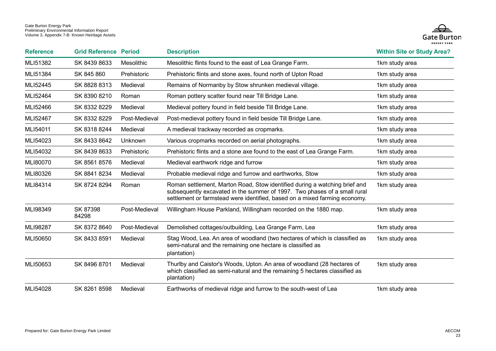

| <b>Reference</b> | <b>Grid Reference Period</b> |                | <b>Description</b>                                                                                                                                                                                                                    | <b>Within Site or Study Area?</b> |
|------------------|------------------------------|----------------|---------------------------------------------------------------------------------------------------------------------------------------------------------------------------------------------------------------------------------------|-----------------------------------|
| MLI51382         | SK 8439 8633                 | Mesolithic     | Mesolithic flints found to the east of Lea Grange Farm.                                                                                                                                                                               | 1km study area                    |
| MLI51384         | SK 845 860                   | Prehistoric    | Prehistoric flints and stone axes, found north of Upton Road                                                                                                                                                                          | 1km study area                    |
| MLI52445         | SK 8828 8313                 | Medieval       | Remains of Normanby by Stow shrunken medieval village.                                                                                                                                                                                | 1km study area                    |
| MLI52464         | SK 8390 8210                 | Roman          | Roman pottery scatter found near Till Bridge Lane.                                                                                                                                                                                    | 1km study area                    |
| MLI52466         | SK 8332 8229                 | Medieval       | Medieval pottery found in field beside Till Bridge Lane.                                                                                                                                                                              | 1km study area                    |
| MLI52467         | SK 8332 8229                 | Post-Medieval  | Post-medieval pottery found in field beside Till Bridge Lane.                                                                                                                                                                         | 1km study area                    |
| MLI54011         | SK 8318 8244                 | Medieval       | A medieval trackway recorded as cropmarks.                                                                                                                                                                                            | 1km study area                    |
| MLI54023         | SK 8433 8642                 | <b>Unknown</b> | Various cropmarks recorded on aerial photographs.                                                                                                                                                                                     | 1km study area                    |
| MLI54032         | SK 8439 8633                 | Prehistoric    | Prehistoric flints and a stone axe found to the east of Lea Grange Farm.                                                                                                                                                              | 1km study area                    |
| MLI80070         | SK 8561 8576                 | Medieval       | Medieval earthwork ridge and furrow                                                                                                                                                                                                   | 1km study area                    |
| MLI80326         | SK 8841 8234                 | Medieval       | Probable medieval ridge and furrow and earthworks, Stow                                                                                                                                                                               | 1km study area                    |
| MLI84314         | SK 8724 8294                 | Roman          | Roman settlement, Marton Road, Stow identified during a watching brief and<br>subsequently excavated in the summer of 1997. Two phases of a small rural<br>settlement or farmstead were identified, based on a mixed farming economy. | 1km study area                    |
| MLI98349         | SK 87398<br>84298            | Post-Medieval  | Willingham House Parkland, Willingham recorded on the 1880 map.                                                                                                                                                                       | 1km study area                    |
| MLI98287         | SK 8372 8640                 | Post-Medieval  | Demolished cottages/outbuilding, Lea Grange Farm, Lea                                                                                                                                                                                 | 1km study area                    |
| MLI50650         | SK 8433 8591                 | Medieval       | Stag Wood, Lea. An area of woodland (two hectares of which is classified as<br>semi-natural and the remaining one hectare is classified as<br>plantation)                                                                             | 1km study area                    |
| MLI50653         | SK 8496 8701                 | Medieval       | Thurlby and Caistor's Woods, Upton. An area of woodland (28 hectares of<br>which classified as semi-natural and the remaining 5 hectares classified as<br>plantation)                                                                 | 1km study area                    |
| MLI54028         | SK 8261 8598                 | Medieval       | Earthworks of medieval ridge and furrow to the south-west of Lea                                                                                                                                                                      | 1km study area                    |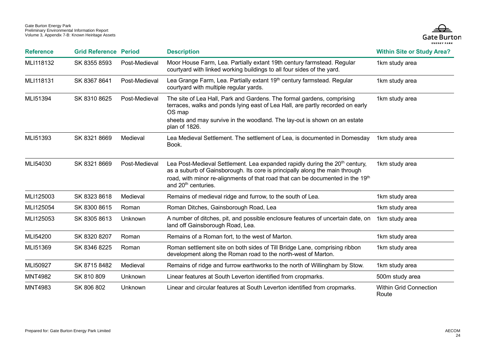

| <b>Reference</b> | <b>Grid Reference Period</b> |               | <b>Description</b>                                                                                                                                                                                                                                                                          | <b>Within Site or Study Area?</b>      |
|------------------|------------------------------|---------------|---------------------------------------------------------------------------------------------------------------------------------------------------------------------------------------------------------------------------------------------------------------------------------------------|----------------------------------------|
| MLI118132        | SK 8355 8593                 | Post-Medieval | Moor House Farm, Lea. Partially extant 19th century farmstead. Regular<br>courtyard with linked working buildings to all four sides of the yard.                                                                                                                                            | 1km study area                         |
| MLI118131        | SK 8367 8641                 | Post-Medieval | Lea Grange Farm, Lea. Partially extant 19 <sup>th</sup> century farmstead. Regular<br>courtyard with multiple regular yards.                                                                                                                                                                | 1km study area                         |
| MLI51394         | SK 8310 8625                 | Post-Medieval | The site of Lea Hall, Park and Gardens. The formal gardens, comprising<br>terraces, walks and ponds lying east of Lea Hall, are partly recorded on early<br>OS map<br>sheets and may survive in the woodland. The lay-out is shown on an estate<br>plan of 1826.                            | 1km study area                         |
| MLI51393         | SK 8321 8669                 | Medieval      | Lea Medieval Settlement. The settlement of Lea, is documented in Domesday<br>Book.                                                                                                                                                                                                          | 1km study area                         |
| MLI54030         | SK 8321 8669                 | Post-Medieval | Lea Post-Medieval Settlement. Lea expanded rapidly during the 20 <sup>th</sup> century,<br>as a suburb of Gainsborough. Its core is principally along the main through<br>road, with minor re-alignments of that road that can be documented in the 19th<br>and 20 <sup>th</sup> centuries. | 1km study area                         |
| MLI125003        | SK 8323 8618                 | Medieval      | Remains of medieval ridge and furrow, to the south of Lea.                                                                                                                                                                                                                                  | 1km study area                         |
| MLI125054        | SK 8300 8615                 | Roman         | Roman Ditches, Gainsborough Road, Lea                                                                                                                                                                                                                                                       | 1km study area                         |
| MLI125053        | SK 8305 8613                 | Unknown       | A number of ditches, pit, and possible enclosure features of uncertain date, on<br>land off Gainsborough Road, Lea.                                                                                                                                                                         | 1km study area                         |
| MLI54200         | SK 8320 8207                 | Roman         | Remains of a Roman fort, to the west of Marton.                                                                                                                                                                                                                                             | 1km study area                         |
| MLI51369         | SK 8346 8225                 | Roman         | Roman settlement site on both sides of Till Bridge Lane, comprising ribbon<br>development along the Roman road to the north-west of Marton.                                                                                                                                                 | 1km study area                         |
| MLI50927         | SK 8715 8482                 | Medieval      | Remains of ridge and furrow earthworks to the north of Willingham by Stow.                                                                                                                                                                                                                  | 1km study area                         |
| <b>MNT4982</b>   | SK 810 809                   | Unknown       | Linear features at South Leverton identified from cropmarks.                                                                                                                                                                                                                                | 500m study area                        |
| <b>MNT4983</b>   | SK 806 802                   | Unknown       | Linear and circular features at South Leverton identified from cropmarks.                                                                                                                                                                                                                   | <b>Within Grid Connection</b><br>Route |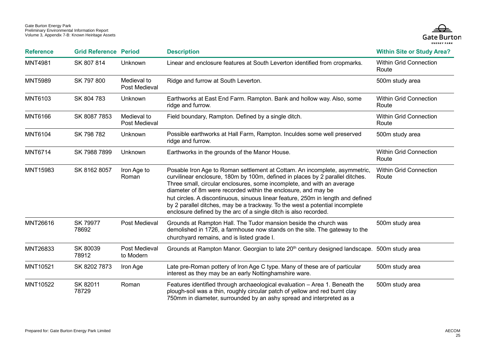

| <b>Reference</b> | <b>Grid Reference Period</b> |                              | <b>Description</b>                                                                                                                                                                                                                                                                                                                                                                                                                                                                                                                             | <b>Within Site or Study Area?</b>      |
|------------------|------------------------------|------------------------------|------------------------------------------------------------------------------------------------------------------------------------------------------------------------------------------------------------------------------------------------------------------------------------------------------------------------------------------------------------------------------------------------------------------------------------------------------------------------------------------------------------------------------------------------|----------------------------------------|
| <b>MNT4981</b>   | SK 807 814                   | <b>Unknown</b>               | Linear and enclosure features at South Leverton identified from cropmarks.                                                                                                                                                                                                                                                                                                                                                                                                                                                                     | <b>Within Grid Connection</b><br>Route |
| <b>MNT5989</b>   | SK 797 800                   | Medieval to<br>Post Medieval | Ridge and furrow at South Leverton.                                                                                                                                                                                                                                                                                                                                                                                                                                                                                                            | 500m study area                        |
| <b>MNT6103</b>   | SK 804 783                   | Unknown                      | Earthworks at East End Farm. Rampton. Bank and hollow way. Also, some<br>ridge and furrow.                                                                                                                                                                                                                                                                                                                                                                                                                                                     | <b>Within Grid Connection</b><br>Route |
| <b>MNT6166</b>   | SK 8087 7853                 | Medieval to<br>Post Medieval | Field boundary, Rampton. Defined by a single ditch.                                                                                                                                                                                                                                                                                                                                                                                                                                                                                            | <b>Within Grid Connection</b><br>Route |
| <b>MNT6104</b>   | SK 798 782                   | Unknown                      | Possible earthworks at Hall Farm, Rampton. Inculdes some well preserved<br>ridge and furrow.                                                                                                                                                                                                                                                                                                                                                                                                                                                   | 500m study area                        |
| <b>MNT6714</b>   | SK 7988 7899                 | Unknown                      | Earthworks in the grounds of the Manor House.                                                                                                                                                                                                                                                                                                                                                                                                                                                                                                  | <b>Within Grid Connection</b><br>Route |
| MNT15983         | SK 8162 8057                 | Iron Age to<br>Roman         | Posable Iron Age to Roman settlement at Cottam. An incomplete, asymmetric,<br>curvilinear enclosure, 180m by 100m, defined in places by 2 parallel ditches.<br>Three small, circular enclosures, some incomplete, and with an average<br>diameter of 8m were recorded within the enclosure, and may be<br>hut circles. A discontinuous, sinuous linear feature, 250m in length and defined<br>by 2 parallel ditches, may be a trackway. To the west a potential incomplete<br>enclosure defined by the arc of a single ditch is also recorded. | <b>Within Grid Connection</b><br>Route |
| MNT26616         | SK 79977<br>78692            | Post Medieval                | Grounds at Rampton Hall. The Tudor mansion beside the church was<br>demolished in 1726, a farmhouse now stands on the site. The gateway to the<br>churchyard remains, and is listed grade I.                                                                                                                                                                                                                                                                                                                                                   | 500m study area                        |
| MNT26833         | SK 80039<br>78912            | Post Medieval<br>to Modern   | Grounds at Rampton Manor. Georgian to late 20 <sup>th</sup> century designed landscape. 500m study area                                                                                                                                                                                                                                                                                                                                                                                                                                        |                                        |
| MNT10521         | SK 8202 7873                 | Iron Age                     | Late pre-Roman pottery of Iron Age C type. Many of these are of particular<br>interest as they may be an early Nottinghamshire ware.                                                                                                                                                                                                                                                                                                                                                                                                           | 500m study area                        |
| MNT10522         | SK 82011<br>78729            | Roman                        | Features identified through archaeological evaluation - Area 1. Beneath the<br>plough-soil was a thin, roughly circular patch of yellow and red burnt clay<br>750mm in diameter, surrounded by an ashy spread and interpreted as a                                                                                                                                                                                                                                                                                                             | 500m study area                        |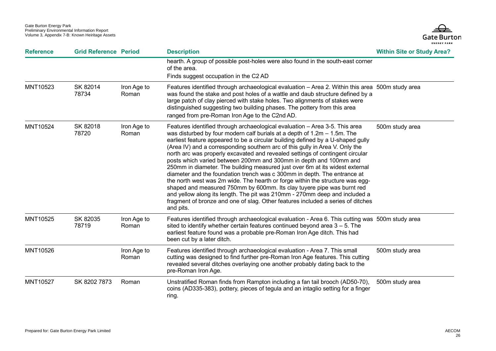

| <b>Reference</b> | <b>Grid Reference Period</b> |                      | <b>Description</b>                                                                                                                                                                                                                                                                                                                                                                                                                                                                                                                                                                                                                                                                                                                                                                                                                                                                                                                                                                       | <b>Within Site or Study Area?</b> |
|------------------|------------------------------|----------------------|------------------------------------------------------------------------------------------------------------------------------------------------------------------------------------------------------------------------------------------------------------------------------------------------------------------------------------------------------------------------------------------------------------------------------------------------------------------------------------------------------------------------------------------------------------------------------------------------------------------------------------------------------------------------------------------------------------------------------------------------------------------------------------------------------------------------------------------------------------------------------------------------------------------------------------------------------------------------------------------|-----------------------------------|
|                  |                              |                      | hearth. A group of possible post-holes were also found in the south-east corner<br>of the area.<br>Finds suggest occupation in the C2 AD                                                                                                                                                                                                                                                                                                                                                                                                                                                                                                                                                                                                                                                                                                                                                                                                                                                 |                                   |
| MNT10523         | SK 82014<br>78734            | Iron Age to<br>Roman | Features identified through archaeological evaluation - Area 2. Within this area 500m study area<br>was found the stake and post holes of a wattle and daub structure defined by a<br>large patch of clay pierced with stake holes. Two alignments of stakes were<br>distinguished suggesting two building phases. The pottery from this area<br>ranged from pre-Roman Iron Age to the C2nd AD.                                                                                                                                                                                                                                                                                                                                                                                                                                                                                                                                                                                          |                                   |
| MNT10524         | SK 82018<br>78720            | Iron Age to<br>Roman | Features identified through archaeological evaluation - Area 3-5. This area<br>was disturbed by four modern calf burials at a depth of $1.2m - 1.5m$ . The<br>earliest feature appeared to be a circular building defined by a U-shaped gully<br>(Area IV) and a corresponding southern arc of this gully in Area V. Only the<br>north arc was properly excavated and revealed settings of contingent circular<br>posts which varied between 200mm and 300mm in depth and 100mm and<br>250mm in diameter. The building measured just over 6m at its widest external<br>diameter and the foundation trench was c 300mm in depth. The entrance at<br>the north west was 2m wide. The hearth or forge within the structure was egg-<br>shaped and measured 750mm by 600mm. Its clay tuyere pipe was burnt red<br>and yellow along its length. The pit was 210mm - 270mm deep and included a<br>fragment of bronze and one of slag. Other features included a series of ditches<br>and pits. | 500m study area                   |
| MNT10525         | SK 82035<br>78719            | Iron Age to<br>Roman | Features identified through archaeological evaluation - Area 6. This cutting was 500m study area<br>sited to identify whether certain features continued beyond area $3 - 5$ . The<br>earliest feature found was a probable pre-Roman Iron Age ditch. This had<br>been cut by a later ditch.                                                                                                                                                                                                                                                                                                                                                                                                                                                                                                                                                                                                                                                                                             |                                   |
| MNT10526         |                              | Iron Age to<br>Roman | Features identified through archaeological evaluation - Area 7. This small<br>cutting was designed to find further pre-Roman Iron Age features. This cutting<br>revealed several ditches overlaying one another probably dating back to the<br>pre-Roman Iron Age.                                                                                                                                                                                                                                                                                                                                                                                                                                                                                                                                                                                                                                                                                                                       | 500m study area                   |
| MNT10527         | SK 8202 7873                 | Roman                | Unstratified Roman finds from Rampton including a fan tail brooch (AD50-70),<br>coins (AD335-383), pottery, pieces of tegula and an intaglio setting for a finger<br>ring.                                                                                                                                                                                                                                                                                                                                                                                                                                                                                                                                                                                                                                                                                                                                                                                                               | 500m study area                   |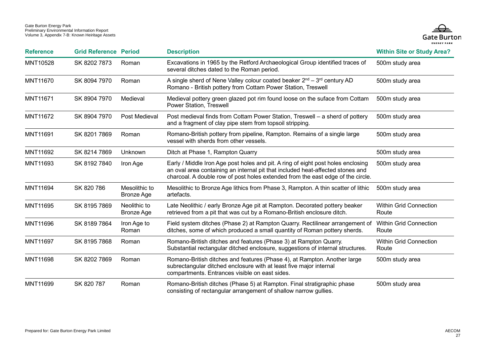

| <b>Reference</b> | <b>Grid Reference Period</b> |                                    | <b>Description</b>                                                                                                                                                                                                                                    | <b>Within Site or Study Area?</b>      |
|------------------|------------------------------|------------------------------------|-------------------------------------------------------------------------------------------------------------------------------------------------------------------------------------------------------------------------------------------------------|----------------------------------------|
| MNT10528         | SK 8202 7873                 | Roman                              | Excavations in 1965 by the Retford Archaeological Group identified traces of<br>several ditches dated to the Roman period.                                                                                                                            | 500m study area                        |
| <b>MNT11670</b>  | SK 8094 7970                 | Roman                              | A single sherd of Nene Valley colour coated beaker $2^{nd} - 3^{rd}$ century AD<br>Romano - British pottery from Cottam Power Station, Treswell                                                                                                       | 500m study area                        |
| MNT11671         | SK 8904 7970                 | Medieval                           | Medieval pottery green glazed pot rim found loose on the suface from Cottam<br>Power Station, Treswell                                                                                                                                                | 500m study area                        |
| <b>MNT11672</b>  | SK 8904 7970                 | Post Medieval                      | Post medieval finds from Cottam Power Station, Treswell - a sherd of pottery<br>and a fragment of clay pipe stem from topsoil stripping.                                                                                                              | 500m study area                        |
| <b>MNT11691</b>  | SK 8201 7869                 | Roman                              | Romano-British pottery from pipeline, Rampton. Remains of a single large<br>vessel with sherds from other vessels.                                                                                                                                    | 500m study area                        |
| MNT11692         | SK 8214 7869                 | Unknown                            | Ditch at Phase 1, Rampton Quarry                                                                                                                                                                                                                      | 500m study area                        |
| MNT11693         | SK 8192 7840                 | Iron Age                           | Early / Middle Iron Age post holes and pit. A ring of eight post holes enclosing<br>an oval area containing an internal pit that included heat-affected stones and<br>charcoal. A double row of post holes extended from the east edge of the circle. | 500m study area                        |
| <b>MNT11694</b>  | SK 820 786                   | Mesolithic to<br><b>Bronze Age</b> | Mesolithic to Bronze Age lithics from Phase 3, Rampton. A thin scatter of lithic<br>artefacts.                                                                                                                                                        | 500m study area                        |
| MNT11695         | SK 8195 7869                 | Neolithic to<br>Bronze Age         | Late Neolithic / early Bronze Age pit at Rampton. Decorated pottery beaker<br>retrieved from a pit that was cut by a Romano-British enclosure ditch.                                                                                                  | <b>Within Grid Connection</b><br>Route |
| MNT11696         | SK 8189 7864                 | Iron Age to<br>Roman               | Field system ditches (Phase 2) at Rampton Quarry. Rectilinear arrangement of<br>ditches, some of which produced a small quantity of Roman pottery sherds.                                                                                             | <b>Within Grid Connection</b><br>Route |
| <b>MNT11697</b>  | SK 8195 7868                 | Roman                              | Romano-British ditches and features (Phase 3) at Rampton Quarry.<br>Substantial rectangular ditched enclosure, suggestions of internal structures.                                                                                                    | <b>Within Grid Connection</b><br>Route |
| <b>MNT11698</b>  | SK 8202 7869                 | Roman                              | Romano-British ditches and features (Phase 4), at Rampton. Another large<br>subrectangular ditched enclosure with at least five major internal<br>compartments. Entrances visible on east sides.                                                      | 500m study area                        |
| MNT11699         | SK 820 787                   | Roman                              | Romano-British ditches (Phase 5) at Rampton. Final stratigraphic phase<br>consisting of rectangular arrangement of shallow narrow gullies.                                                                                                            | 500m study area                        |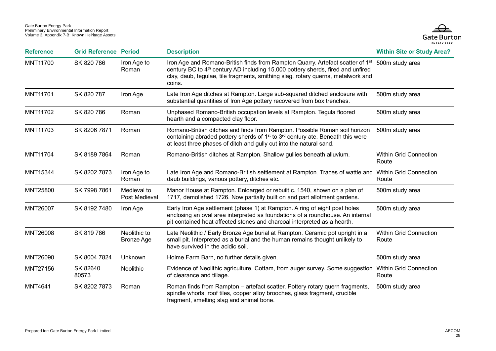

| <b>Reference</b> | <b>Grid Reference Period</b> |                                   | <b>Description</b>                                                                                                                                                                                                                                                                      | <b>Within Site or Study Area?</b>      |
|------------------|------------------------------|-----------------------------------|-----------------------------------------------------------------------------------------------------------------------------------------------------------------------------------------------------------------------------------------------------------------------------------------|----------------------------------------|
| MNT11700         | SK 820 786                   | Iron Age to<br>Roman              | Iron Age and Romano-British finds from Rampton Quarry. Artefact scatter of 1 <sup>st</sup><br>century BC to 4 <sup>th</sup> century AD including 15,000 pottery sherds, fired and unfired<br>clay, daub, tegulae, tile fragments, smithing slag, rotary querns, metalwork and<br>coins. | 500m study area                        |
| <b>MNT11701</b>  | SK 820 787                   | Iron Age                          | Late Iron Age ditches at Rampton. Large sub-squared ditched enclosure with<br>substantial quantities of Iron Age pottery recovered from box trenches.                                                                                                                                   | 500m study area                        |
| MNT11702         | SK 820 786                   | Roman                             | Unphased Romano-British occupation levels at Rampton. Tegula floored<br>hearth and a compacted clay floor.                                                                                                                                                                              | 500m study area                        |
| <b>MNT11703</b>  | SK 8206 7871                 | Roman                             | Romano-British ditches and finds from Rampton. Possible Roman soil horizon<br>containing abraded pottery sherds of 1 <sup>st</sup> to 3 <sup>rd</sup> century ate. Beneath this were<br>at least three phases of ditch and gully cut into the natural sand.                             | 500m study area                        |
| MNT11704         | SK 8189 7864                 | Roman                             | Romano-British ditches at Rampton. Shallow gullies beneath alluvium.                                                                                                                                                                                                                    | <b>Within Grid Connection</b><br>Route |
| MNT15344         | SK 8202 7873                 | Iron Age to<br>Roman              | Late Iron Age and Romano-British settlement at Rampton. Traces of wattle and Within Grid Connection<br>daub buildings, various pottery, ditches etc.                                                                                                                                    | Route                                  |
| <b>MNT25800</b>  | SK 7998 7861                 | Medieval to<br>Post Medieval      | Manor House at Rampton. Enloarged or rebuilt c. 1540, shown on a plan of<br>1717, demolished 1726. Now partially built on and part allotment gardens.                                                                                                                                   | 500m study area                        |
| <b>MNT26007</b>  | SK 81927480                  | Iron Age                          | Early Iron Age settlement (phase 1) at Rampton. A ring of eight post holes<br>enclosing an oval area interpreted as foundations of a roundhouse. An internal<br>pit contained heat affected stones and charcoal interpreted as a hearth.                                                | 500m study area                        |
| <b>MNT26008</b>  | SK 819786                    | Neolithic to<br><b>Bronze Age</b> | Late Neolithic / Early Bronze Age burial at Rampton. Ceramic pot upright in a<br>small pit. Interpreted as a burial and the human remains thought unlikely to<br>have survived in the acidic soil.                                                                                      | <b>Within Grid Connection</b><br>Route |
| MNT26090         | SK 8004 7824                 | Unknown                           | Holme Farm Barn, no further details given.                                                                                                                                                                                                                                              | 500m study area                        |
| MNT27156         | SK 82640<br>80573            | Neolithic                         | Evidence of Neolithic agriculture, Cottam, from auger survey. Some suggestion<br>of clearance and tillage.                                                                                                                                                                              | <b>Within Grid Connection</b><br>Route |
| <b>MNT4641</b>   | SK 8202 7873                 | Roman                             | Roman finds from Rampton - artefact scatter. Pottery rotary quern fragments,<br>spindle whorls, roof tiles, copper alloy brooches, glass fragment, crucible<br>fragment, smelting slag and animal bone.                                                                                 | 500m study area                        |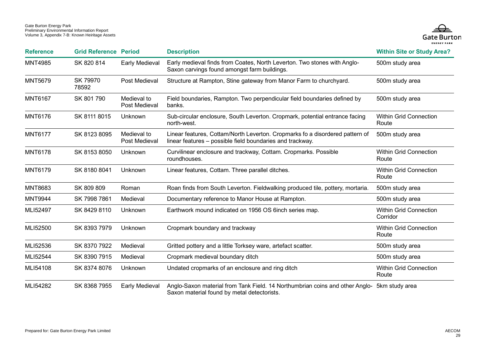

| <b>Reference</b> | <b>Grid Reference Period</b> |                              | <b>Description</b>                                                                                                                        | <b>Within Site or Study Area?</b>         |
|------------------|------------------------------|------------------------------|-------------------------------------------------------------------------------------------------------------------------------------------|-------------------------------------------|
| <b>MNT4985</b>   | SK 820 814                   | Early Medieval               | Early medieval finds from Coates, North Leverton. Two stones with Anglo-<br>Saxon carvings found amongst farm buildings.                  | 500m study area                           |
| <b>MNT5679</b>   | SK 79970<br>78592            | Post Medieval                | Structure at Rampton, Stine gateway from Manor Farm to churchyard.                                                                        | 500m study area                           |
| <b>MNT6167</b>   | SK 801 790                   | Medieval to<br>Post Medieval | Field boundaries, Rampton. Two perpendicular field boundaries defined by<br>banks.                                                        | 500m study area                           |
| <b>MNT6176</b>   | SK 8111 8015                 | Unknown                      | Sub-circular enclosure, South Leverton. Cropmark, potential entrance facing<br>north-west.                                                | <b>Within Grid Connection</b><br>Route    |
| <b>MNT6177</b>   | SK 8123 8095                 | Medieval to<br>Post Medieval | Linear features, Cottam/North Leverton. Cropmarks fo a disordered pattern of<br>linear features - possible field boundaries and trackway. | 500m study area                           |
| <b>MNT6178</b>   | SK 8153 8050                 | Unknown                      | Curvilinear enclosure and trackway, Cottam. Cropmarks. Possible<br>roundhouses.                                                           | <b>Within Grid Connection</b><br>Route    |
| <b>MNT6179</b>   | SK 8180 8041                 | Unknown                      | Linear features, Cottam. Three parallel ditches.                                                                                          | <b>Within Grid Connection</b><br>Route    |
| <b>MNT8683</b>   | SK 809 809                   | Roman                        | Roan finds from South Leverton. Fieldwalking produced tile, pottery, mortaria.                                                            | 500m study area                           |
| <b>MNT9944</b>   | SK 7998 7861                 | Medieval                     | Documentary reference to Manor House at Rampton.                                                                                          | 500m study area                           |
| MLI52497         | SK 8429 8110                 | Unknown                      | Earthwork mound indicated on 1956 OS 6inch series map.                                                                                    | <b>Within Grid Connection</b><br>Corridor |
| MLI52500         | SK 8393 7979                 | Unknown                      | Cropmark boundary and trackway                                                                                                            | <b>Within Grid Connection</b><br>Route    |
| MLI52536         | SK 8370 7922                 | Medieval                     | Gritted pottery and a little Torksey ware, artefact scatter.                                                                              | 500m study area                           |
| MLI52544         | SK 8390 7915                 | Medieval                     | Cropmark medieval boundary ditch                                                                                                          | 500m study area                           |
| MLI54108         | SK 8374 8076                 | Unknown                      | Undated cropmarks of an enclosure and ring ditch                                                                                          | <b>Within Grid Connection</b><br>Route    |
| MLI54282         | SK 8368 7955                 | Early Medieval               | Anglo-Saxon material from Tank Field. 14 Northumbrian coins and other Anglo- 5km study area                                               |                                           |

Saxon material found by metal detectorists.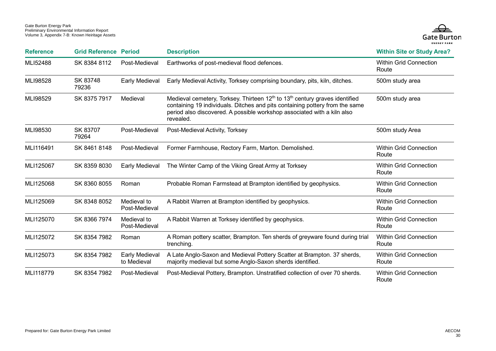

| <b>Reference</b> | <b>Grid Reference Period</b> |                               | <b>Description</b>                                                                                                                                                                                                                                                          | <b>Within Site or Study Area?</b>      |
|------------------|------------------------------|-------------------------------|-----------------------------------------------------------------------------------------------------------------------------------------------------------------------------------------------------------------------------------------------------------------------------|----------------------------------------|
| MLI52488         | SK 8384 8112                 | Post-Medieval                 | Earthworks of post-medieval flood defences.                                                                                                                                                                                                                                 | <b>Within Grid Connection</b><br>Route |
| MLI98528         | SK 83748<br>79236            | Early Medieval                | Early Medieval Activity, Torksey comprising boundary, pits, kiln, ditches.                                                                                                                                                                                                  | 500m study area                        |
| MLI98529         | SK 8375 7917                 | Medieval                      | Medieval cemetery, Torksey. Thirteen 12 <sup>th</sup> to 13 <sup>th</sup> century graves identified<br>containing 19 individuals. Ditches and pits containing pottery from the same<br>period also discovered. A possible workshop associated with a kiln also<br>revealed. | 500m study area                        |
| MLI98530         | SK 83707<br>79264            | Post-Medieval                 | Post-Medieval Activity, Torksey                                                                                                                                                                                                                                             | 500m study Area                        |
| MLI116491        | SK 8461 8148                 | Post-Medieval                 | Former Farmhouse, Rectory Farm, Marton. Demolished.                                                                                                                                                                                                                         | <b>Within Grid Connection</b><br>Route |
| MLI125067        | SK 8359 8030                 | Early Medieval                | The Winter Camp of the Viking Great Army at Torksey                                                                                                                                                                                                                         | <b>Within Grid Connection</b><br>Route |
| MLI125068        | SK 8360 8055                 | Roman                         | Probable Roman Farmstead at Brampton identified by geophysics.                                                                                                                                                                                                              | <b>Within Grid Connection</b><br>Route |
| MLI125069        | SK 8348 8052                 | Medieval to<br>Post-Medieval  | A Rabbit Warren at Brampton identified by geophysics.                                                                                                                                                                                                                       | <b>Within Grid Connection</b><br>Route |
| MLI125070        | SK 8366 7974                 | Medieval to<br>Post-Medieval  | A Rabbit Warren at Torksey identified by geophysics.                                                                                                                                                                                                                        | <b>Within Grid Connection</b><br>Route |
| MLI125072        | SK 8354 7982                 | Roman                         | A Roman pottery scatter, Brampton. Ten sherds of greyware found during trial<br>trenching.                                                                                                                                                                                  | <b>Within Grid Connection</b><br>Route |
| MLI125073        | SK 8354 7982                 | Early Medieval<br>to Medieval | A Late Anglo-Saxon and Medieval Pottery Scatter at Brampton. 37 sherds,<br>majority medieval but some Anglo-Saxon sherds identified.                                                                                                                                        | <b>Within Grid Connection</b><br>Route |
| MLI118779        | SK 8354 7982                 | Post-Medieval                 | Post-Medieval Pottery, Brampton. Unstratified collection of over 70 sherds.                                                                                                                                                                                                 | <b>Within Grid Connection</b><br>Route |